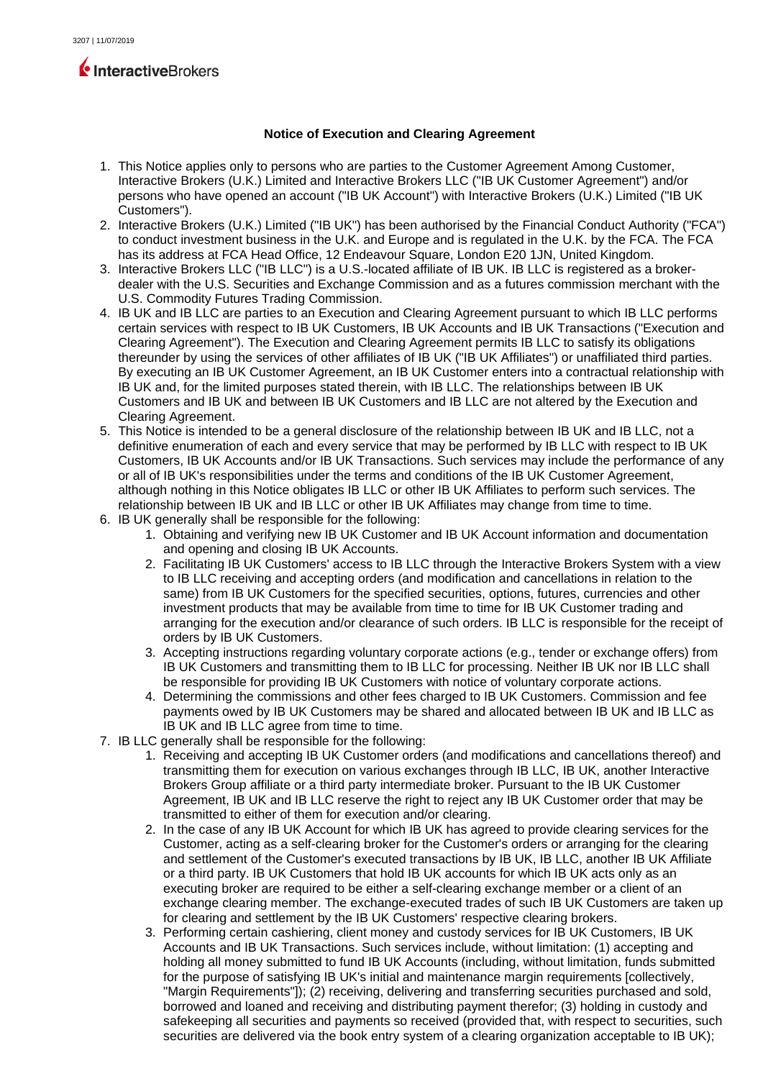# InteractiveBrokers

# **Notice of Execution and Clearing Agreement**

- 1. This Notice applies only to persons who are parties to the Customer Agreement Among Customer, Interactive Brokers (U.K.) Limited and Interactive Brokers LLC ("IB UK Customer Agreement") and/or persons who have opened an account ("IB UK Account") with Interactive Brokers (U.K.) Limited ("IB UK Customers").
- 2. Interactive Brokers (U.K.) Limited ("IB UK") has been authorised by the Financial Conduct Authority ("FCA") to conduct investment business in the U.K. and Europe and is regulated in the U.K. by the FCA. The FCA has its address at FCA Head Office, 12 Endeavour Square, London E20 1JN, United Kingdom.
- 3. Interactive Brokers LLC ("IB LLC") is a U.S.-located affiliate of IB UK. IB LLC is registered as a brokerdealer with the U.S. Securities and Exchange Commission and as a futures commission merchant with the U.S. Commodity Futures Trading Commission.
- 4. IB UK and IB LLC are parties to an Execution and Clearing Agreement pursuant to which IB LLC performs certain services with respect to IB UK Customers, IB UK Accounts and IB UK Transactions ("Execution and Clearing Agreement"). The Execution and Clearing Agreement permits IB LLC to satisfy its obligations thereunder by using the services of other affiliates of IB UK ("IB UK Affiliates") or unaffiliated third parties. By executing an IB UK Customer Agreement, an IB UK Customer enters into a contractual relationship with IB UK and, for the limited purposes stated therein, with IB LLC. The relationships between IB UK Customers and IB UK and between IB UK Customers and IB LLC are not altered by the Execution and Clearing Agreement.
- 5. This Notice is intended to be a general disclosure of the relationship between IB UK and IB LLC, not a definitive enumeration of each and every service that may be performed by IB LLC with respect to IB UK Customers, IB UK Accounts and/or IB UK Transactions. Such services may include the performance of any or all of IB UK's responsibilities under the terms and conditions of the IB UK Customer Agreement, although nothing in this Notice obligates IB LLC or other IB UK Affiliates to perform such services. The relationship between IB UK and IB LLC or other IB UK Affiliates may change from time to time.
- 6. IB UK generally shall be responsible for the following:
	- 1. Obtaining and verifying new IB UK Customer and IB UK Account information and documentation and opening and closing IB UK Accounts.
	- 2. Facilitating IB UK Customers' access to IB LLC through the Interactive Brokers System with a view to IB LLC receiving and accepting orders (and modification and cancellations in relation to the same) from IB UK Customers for the specified securities, options, futures, currencies and other investment products that may be available from time to time for IB UK Customer trading and arranging for the execution and/or clearance of such orders. IB LLC is responsible for the receipt of orders by IB UK Customers.
	- 3. Accepting instructions regarding voluntary corporate actions (e.g., tender or exchange offers) from IB UK Customers and transmitting them to IB LLC for processing. Neither IB UK nor IB LLC shall be responsible for providing IB UK Customers with notice of voluntary corporate actions.
	- 4. Determining the commissions and other fees charged to IB UK Customers. Commission and fee payments owed by IB UK Customers may be shared and allocated between IB UK and IB LLC as IB UK and IB LLC agree from time to time.
- 7. IB LLC generally shall be responsible for the following:
	- 1. Receiving and accepting IB UK Customer orders (and modifications and cancellations thereof) and transmitting them for execution on various exchanges through IB LLC, IB UK, another Interactive Brokers Group affiliate or a third party intermediate broker. Pursuant to the IB UK Customer Agreement, IB UK and IB LLC reserve the right to reject any IB UK Customer order that may be transmitted to either of them for execution and/or clearing.
	- 2. In the case of any IB UK Account for which IB UK has agreed to provide clearing services for the Customer, acting as a self-clearing broker for the Customer's orders or arranging for the clearing and settlement of the Customer's executed transactions by IB UK, IB LLC, another IB UK Affiliate or a third party. IB UK Customers that hold IB UK accounts for which IB UK acts only as an executing broker are required to be either a self-clearing exchange member or a client of an exchange clearing member. The exchange-executed trades of such IB UK Customers are taken up for clearing and settlement by the IB UK Customers' respective clearing brokers.
	- 3. Performing certain cashiering, client money and custody services for IB UK Customers, IB UK Accounts and IB UK Transactions. Such services include, without limitation: (1) accepting and holding all money submitted to fund IB UK Accounts (including, without limitation, funds submitted for the purpose of satisfying IB UK's initial and maintenance margin requirements [collectively, "Margin Requirements"]); (2) receiving, delivering and transferring securities purchased and sold, borrowed and loaned and receiving and distributing payment therefor; (3) holding in custody and safekeeping all securities and payments so received (provided that, with respect to securities, such securities are delivered via the book entry system of a clearing organization acceptable to IB UK);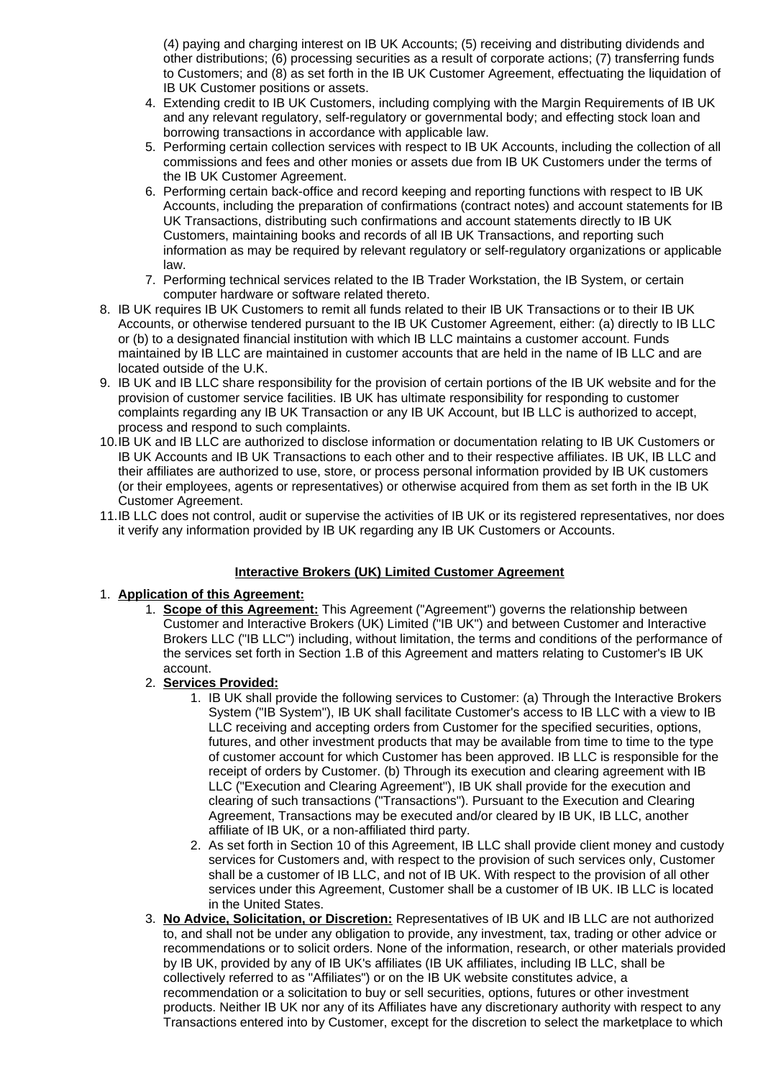(4) paying and charging interest on IB UK Accounts; (5) receiving and distributing dividends and other distributions; (6) processing securities as a result of corporate actions; (7) transferring funds to Customers; and (8) as set forth in the IB UK Customer Agreement, effectuating the liquidation of IB UK Customer positions or assets.

- 4. Extending credit to IB UK Customers, including complying with the Margin Requirements of IB UK and any relevant regulatory, self-regulatory or governmental body; and effecting stock loan and borrowing transactions in accordance with applicable law.
- 5. Performing certain collection services with respect to IB UK Accounts, including the collection of all commissions and fees and other monies or assets due from IB UK Customers under the terms of the IB UK Customer Agreement.
- 6. Performing certain back-office and record keeping and reporting functions with respect to IB UK Accounts, including the preparation of confirmations (contract notes) and account statements for IB UK Transactions, distributing such confirmations and account statements directly to IB UK Customers, maintaining books and records of all IB UK Transactions, and reporting such information as may be required by relevant regulatory or self-regulatory organizations or applicable law.
- 7. Performing technical services related to the IB Trader Workstation, the IB System, or certain computer hardware or software related thereto.
- 8. IB UK requires IB UK Customers to remit all funds related to their IB UK Transactions or to their IB UK Accounts, or otherwise tendered pursuant to the IB UK Customer Agreement, either: (a) directly to IB LLC or (b) to a designated financial institution with which IB LLC maintains a customer account. Funds maintained by IB LLC are maintained in customer accounts that are held in the name of IB LLC and are located outside of the U.K.
- 9. IB UK and IB LLC share responsibility for the provision of certain portions of the IB UK website and for the provision of customer service facilities. IB UK has ultimate responsibility for responding to customer complaints regarding any IB UK Transaction or any IB UK Account, but IB LLC is authorized to accept, process and respond to such complaints.
- 10.IB UK and IB LLC are authorized to disclose information or documentation relating to IB UK Customers or IB UK Accounts and IB UK Transactions to each other and to their respective affiliates. IB UK, IB LLC and their affiliates are authorized to use, store, or process personal information provided by IB UK customers (or their employees, agents or representatives) or otherwise acquired from them as set forth in the IB UK Customer Agreement.
- 11.IB LLC does not control, audit or supervise the activities of IB UK or its registered representatives, nor does it verify any information provided by IB UK regarding any IB UK Customers or Accounts.

# **Interactive Brokers (UK) Limited Customer Agreement**

# 1. **Application of this Agreement:**

- 1. **Scope of this Agreement:** This Agreement ("Agreement") governs the relationship between Customer and Interactive Brokers (UK) Limited ("IB UK") and between Customer and Interactive Brokers LLC ("IB LLC") including, without limitation, the terms and conditions of the performance of the services set forth in Section 1.B of this Agreement and matters relating to Customer's IB UK account.
- 2. **Services Provided:**
	- 1. IB UK shall provide the following services to Customer: (a) Through the Interactive Brokers System ("IB System"), IB UK shall facilitate Customer's access to IB LLC with a view to IB LLC receiving and accepting orders from Customer for the specified securities, options, futures, and other investment products that may be available from time to time to the type of customer account for which Customer has been approved. IB LLC is responsible for the receipt of orders by Customer. (b) Through its execution and clearing agreement with IB LLC ("Execution and Clearing Agreement"), IB UK shall provide for the execution and clearing of such transactions ("Transactions"). Pursuant to the Execution and Clearing Agreement, Transactions may be executed and/or cleared by IB UK, IB LLC, another affiliate of IB UK, or a non-affiliated third party.
	- 2. As set forth in Section 10 of this Agreement, IB LLC shall provide client money and custody services for Customers and, with respect to the provision of such services only, Customer shall be a customer of IB LLC, and not of IB UK. With respect to the provision of all other services under this Agreement, Customer shall be a customer of IB UK. IB LLC is located in the United States.
- 3. **No Advice, Solicitation, or Discretion:** Representatives of IB UK and IB LLC are not authorized to, and shall not be under any obligation to provide, any investment, tax, trading or other advice or recommendations or to solicit orders. None of the information, research, or other materials provided by IB UK, provided by any of IB UK's affiliates (IB UK affiliates, including IB LLC, shall be collectively referred to as "Affiliates") or on the IB UK website constitutes advice, a recommendation or a solicitation to buy or sell securities, options, futures or other investment products. Neither IB UK nor any of its Affiliates have any discretionary authority with respect to any Transactions entered into by Customer, except for the discretion to select the marketplace to which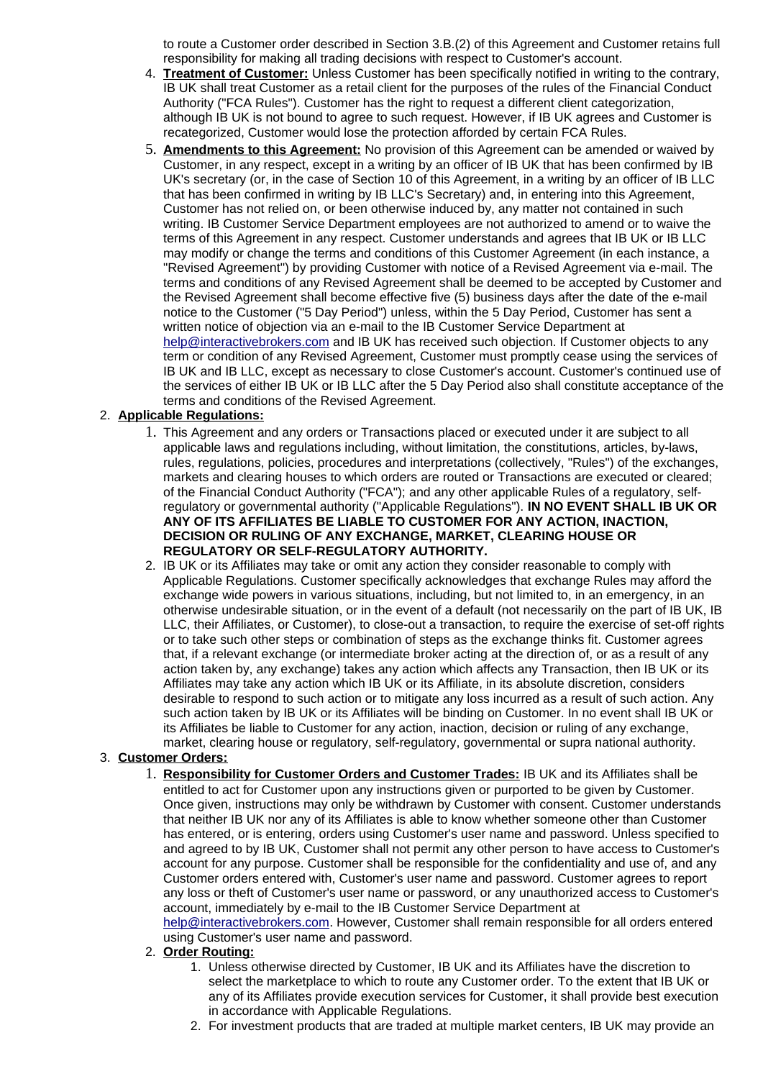to route a Customer order described in Section 3.B.(2) of this Agreement and Customer retains full responsibility for making all trading decisions with respect to Customer's account.

- 4. **Treatment of Customer:** Unless Customer has been specifically notified in writing to the contrary, IB UK shall treat Customer as a retail client for the purposes of the rules of the Financial Conduct Authority ("FCA Rules"). Customer has the right to request a different client categorization, although IB UK is not bound to agree to such request. However, if IB UK agrees and Customer is recategorized, Customer would lose the protection afforded by certain FCA Rules.
- 5. **Amendments to this Agreement:** No provision of this Agreement can be amended or waived by Customer, in any respect, except in a writing by an officer of IB UK that has been confirmed by IB UK's secretary (or, in the case of Section 10 of this Agreement, in a writing by an officer of IB LLC that has been confirmed in writing by IB LLC's Secretary) and, in entering into this Agreement, Customer has not relied on, or been otherwise induced by, any matter not contained in such writing. IB Customer Service Department employees are not authorized to amend or to waive the terms of this Agreement in any respect. Customer understands and agrees that IB UK or IB LLC may modify or change the terms and conditions of this Customer Agreement (in each instance, a "Revised Agreement") by providing Customer with notice of a Revised Agreement via e-mail. The terms and conditions of any Revised Agreement shall be deemed to be accepted by Customer and the Revised Agreement shall become effective five (5) business days after the date of the e-mail notice to the Customer ("5 Day Period") unless, within the 5 Day Period, Customer has sent a written notice of objection via an e-mail to the IB Customer Service Department at [help@interactivebrokers.com](mailto:help@interactivebrokers.com) and IB UK has received such objection. If Customer objects to any term or condition of any Revised Agreement, Customer must promptly cease using the services of IB UK and IB LLC, except as necessary to close Customer's account. Customer's continued use of the services of either IB UK or IB LLC after the 5 Day Period also shall constitute acceptance of the terms and conditions of the Revised Agreement.

# 2. **Applicable Regulations:**

- 1. This Agreement and any orders or Transactions placed or executed under it are subject to all applicable laws and regulations including, without limitation, the constitutions, articles, by-laws, rules, regulations, policies, procedures and interpretations (collectively, "Rules") of the exchanges, markets and clearing houses to which orders are routed or Transactions are executed or cleared; of the Financial Conduct Authority ("FCA"); and any other applicable Rules of a regulatory, selfregulatory or governmental authority ("Applicable Regulations"). **IN NO EVENT SHALL IB UK OR ANY OF ITS AFFILIATES BE LIABLE TO CUSTOMER FOR ANY ACTION, INACTION, DECISION OR RULING OF ANY EXCHANGE, MARKET, CLEARING HOUSE OR REGULATORY OR SELF-REGULATORY AUTHORITY.**
- 2. IB UK or its Affiliates may take or omit any action they consider reasonable to comply with Applicable Regulations. Customer specifically acknowledges that exchange Rules may afford the exchange wide powers in various situations, including, but not limited to, in an emergency, in an otherwise undesirable situation, or in the event of a default (not necessarily on the part of IB UK, IB LLC, their Affiliates, or Customer), to close-out a transaction, to require the exercise of set-off rights or to take such other steps or combination of steps as the exchange thinks fit. Customer agrees that, if a relevant exchange (or intermediate broker acting at the direction of, or as a result of any action taken by, any exchange) takes any action which affects any Transaction, then IB UK or its Affiliates may take any action which IB UK or its Affiliate, in its absolute discretion, considers desirable to respond to such action or to mitigate any loss incurred as a result of such action. Any such action taken by IB UK or its Affiliates will be binding on Customer. In no event shall IB UK or its Affiliates be liable to Customer for any action, inaction, decision or ruling of any exchange, market, clearing house or regulatory, self-regulatory, governmental or supra national authority.

# 3. **Customer Orders:**

1. **Responsibility for Customer Orders and Customer Trades:** IB UK and its Affiliates shall be entitled to act for Customer upon any instructions given or purported to be given by Customer. Once given, instructions may only be withdrawn by Customer with consent. Customer understands that neither IB UK nor any of its Affiliates is able to know whether someone other than Customer has entered, or is entering, orders using Customer's user name and password. Unless specified to and agreed to by IB UK, Customer shall not permit any other person to have access to Customer's account for any purpose. Customer shall be responsible for the confidentiality and use of, and any Customer orders entered with, Customer's user name and password. Customer agrees to report any loss or theft of Customer's user name or password, or any unauthorized access to Customer's account, immediately by e-mail to the IB Customer Service Department at

[help@interactivebrokers.com.](mailto:help@interactivebrokers.com) However, Customer shall remain responsible for all orders entered using Customer's user name and password.

- 2. **Order Routing:**
	- 1. Unless otherwise directed by Customer, IB UK and its Affiliates have the discretion to select the marketplace to which to route any Customer order. To the extent that IB UK or any of its Affiliates provide execution services for Customer, it shall provide best execution in accordance with Applicable Regulations.
	- 2. For investment products that are traded at multiple market centers, IB UK may provide an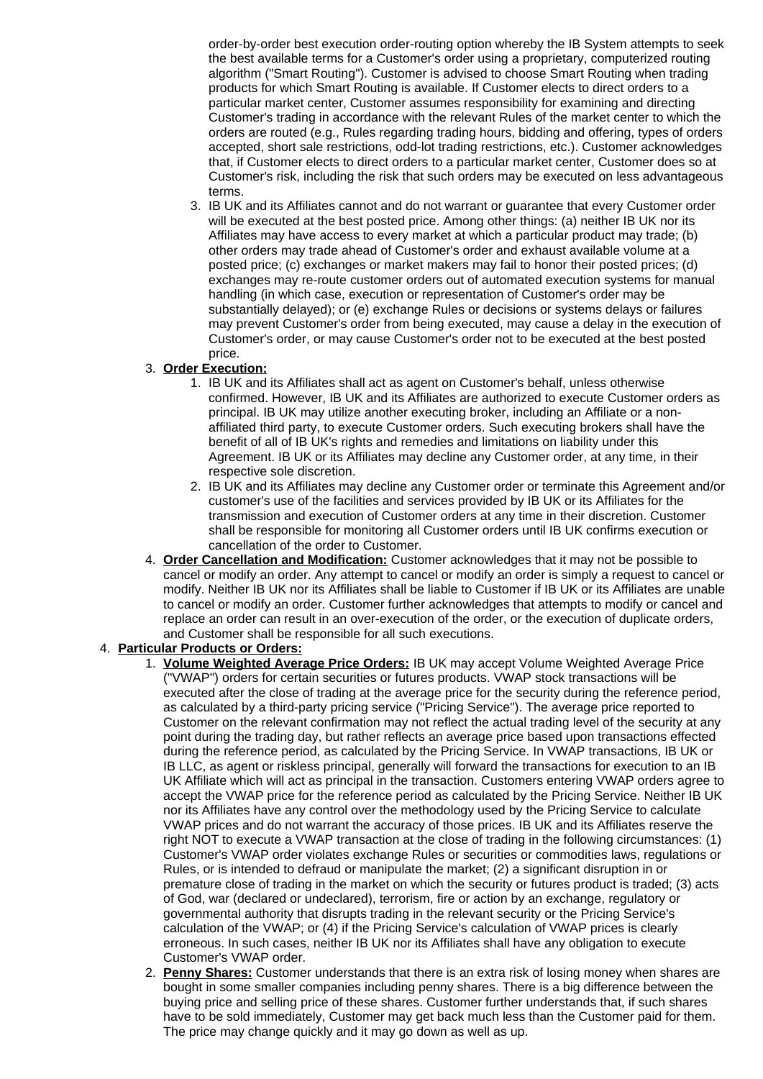order-by-order best execution order-routing option whereby the IB System attempts to seek the best available terms for a Customer's order using a proprietary, computerized routing algorithm ("Smart Routing"). Customer is advised to choose Smart Routing when trading products for which Smart Routing is available. If Customer elects to direct orders to a particular market center, Customer assumes responsibility for examining and directing Customer's trading in accordance with the relevant Rules of the market center to which the orders are routed (e.g., Rules regarding trading hours, bidding and offering, types of orders accepted, short sale restrictions, odd-lot trading restrictions, etc.). Customer acknowledges that, if Customer elects to direct orders to a particular market center, Customer does so at Customer's risk, including the risk that such orders may be executed on less advantageous terms.

3. IB UK and its Affiliates cannot and do not warrant or guarantee that every Customer order will be executed at the best posted price. Among other things: (a) neither IB UK nor its Affiliates may have access to every market at which a particular product may trade; (b) other orders may trade ahead of Customer's order and exhaust available volume at a posted price; (c) exchanges or market makers may fail to honor their posted prices; (d) exchanges may re-route customer orders out of automated execution systems for manual handling (in which case, execution or representation of Customer's order may be substantially delayed); or (e) exchange Rules or decisions or systems delays or failures may prevent Customer's order from being executed, may cause a delay in the execution of Customer's order, or may cause Customer's order not to be executed at the best posted price.

# 3. **Order Execution:**

- 1. IB UK and its Affiliates shall act as agent on Customer's behalf, unless otherwise confirmed. However, IB UK and its Affiliates are authorized to execute Customer orders as principal. IB UK may utilize another executing broker, including an Affiliate or a nonaffiliated third party, to execute Customer orders. Such executing brokers shall have the benefit of all of IB UK's rights and remedies and limitations on liability under this Agreement. IB UK or its Affiliates may decline any Customer order, at any time, in their respective sole discretion.
- 2. IB UK and its Affiliates may decline any Customer order or terminate this Agreement and/or customer's use of the facilities and services provided by IB UK or its Affiliates for the transmission and execution of Customer orders at any time in their discretion. Customer shall be responsible for monitoring all Customer orders until IB UK confirms execution or cancellation of the order to Customer.
- 4. **Order Cancellation and Modification:** Customer acknowledges that it may not be possible to cancel or modify an order. Any attempt to cancel or modify an order is simply a request to cancel or modify. Neither IB UK nor its Affiliates shall be liable to Customer if IB UK or its Affiliates are unable to cancel or modify an order. Customer further acknowledges that attempts to modify or cancel and replace an order can result in an over-execution of the order, or the execution of duplicate orders, and Customer shall be responsible for all such executions.

# 4. **Particular Products or Orders:**

- 1. **Volume Weighted Average Price Orders:** IB UK may accept Volume Weighted Average Price ("VWAP") orders for certain securities or futures products. VWAP stock transactions will be executed after the close of trading at the average price for the security during the reference period, as calculated by a third-party pricing service ("Pricing Service"). The average price reported to Customer on the relevant confirmation may not reflect the actual trading level of the security at any point during the trading day, but rather reflects an average price based upon transactions effected during the reference period, as calculated by the Pricing Service. In VWAP transactions, IB UK or IB LLC, as agent or riskless principal, generally will forward the transactions for execution to an IB UK Affiliate which will act as principal in the transaction. Customers entering VWAP orders agree to accept the VWAP price for the reference period as calculated by the Pricing Service. Neither IB UK nor its Affiliates have any control over the methodology used by the Pricing Service to calculate VWAP prices and do not warrant the accuracy of those prices. IB UK and its Affiliates reserve the right NOT to execute a VWAP transaction at the close of trading in the following circumstances: (1) Customer's VWAP order violates exchange Rules or securities or commodities laws, regulations or Rules, or is intended to defraud or manipulate the market; (2) a significant disruption in or premature close of trading in the market on which the security or futures product is traded; (3) acts of God, war (declared or undeclared), terrorism, fire or action by an exchange, regulatory or governmental authority that disrupts trading in the relevant security or the Pricing Service's calculation of the VWAP; or (4) if the Pricing Service's calculation of VWAP prices is clearly erroneous. In such cases, neither IB UK nor its Affiliates shall have any obligation to execute Customer's VWAP order.
- 2. **Penny Shares:** Customer understands that there is an extra risk of losing money when shares are bought in some smaller companies including penny shares. There is a big difference between the buying price and selling price of these shares. Customer further understands that, if such shares have to be sold immediately, Customer may get back much less than the Customer paid for them. The price may change quickly and it may go down as well as up.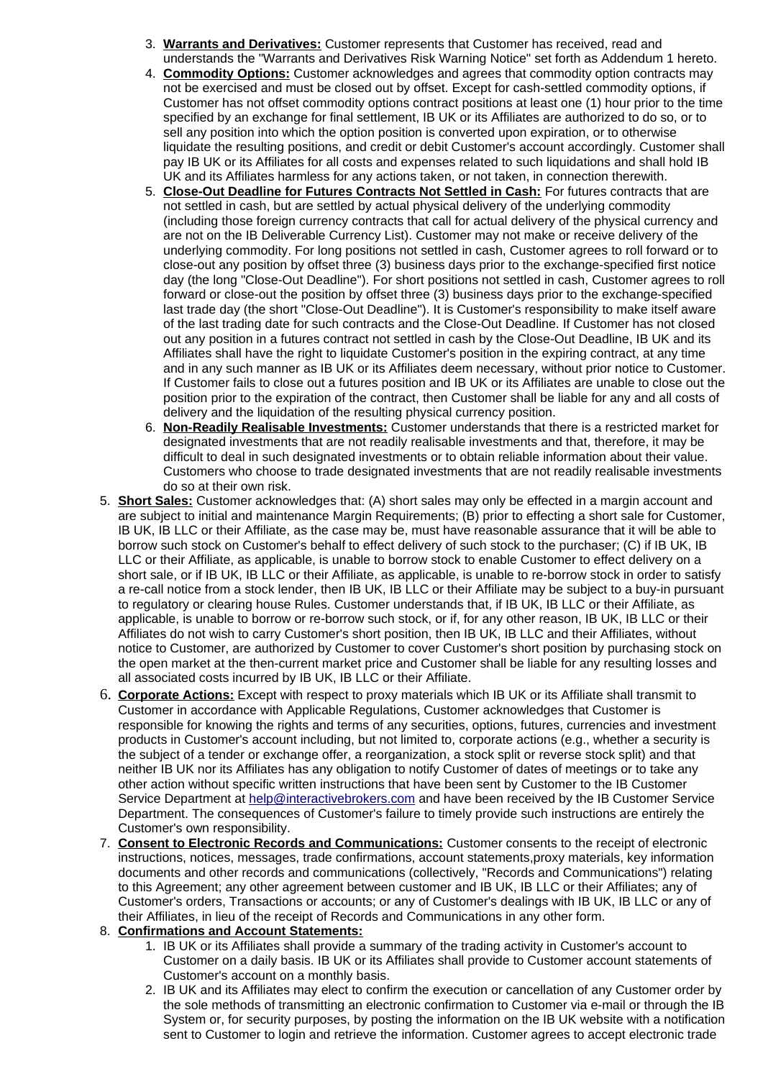- 3. **Warrants and Derivatives:** Customer represents that Customer has received, read and understands the "Warrants and Derivatives Risk Warning Notice" set forth as Addendum 1 hereto.
- 4. **Commodity Options:** Customer acknowledges and agrees that commodity option contracts may not be exercised and must be closed out by offset. Except for cash-settled commodity options, if Customer has not offset commodity options contract positions at least one (1) hour prior to the time specified by an exchange for final settlement, IB UK or its Affiliates are authorized to do so, or to sell any position into which the option position is converted upon expiration, or to otherwise liquidate the resulting positions, and credit or debit Customer's account accordingly. Customer shall pay IB UK or its Affiliates for all costs and expenses related to such liquidations and shall hold IB UK and its Affiliates harmless for any actions taken, or not taken, in connection therewith.
- 5. **Close-Out Deadline for Futures Contracts Not Settled in Cash:** For futures contracts that are not settled in cash, but are settled by actual physical delivery of the underlying commodity (including those foreign currency contracts that call for actual delivery of the physical currency and are not on the IB Deliverable Currency List). Customer may not make or receive delivery of the underlying commodity. For long positions not settled in cash, Customer agrees to roll forward or to close-out any position by offset three (3) business days prior to the exchange-specified first notice day (the long "Close-Out Deadline"). For short positions not settled in cash, Customer agrees to roll forward or close-out the position by offset three (3) business days prior to the exchange-specified last trade day (the short "Close-Out Deadline"). It is Customer's responsibility to make itself aware of the last trading date for such contracts and the Close-Out Deadline. If Customer has not closed out any position in a futures contract not settled in cash by the Close-Out Deadline, IB UK and its Affiliates shall have the right to liquidate Customer's position in the expiring contract, at any time and in any such manner as IB UK or its Affiliates deem necessary, without prior notice to Customer. If Customer fails to close out a futures position and IB UK or its Affiliates are unable to close out the position prior to the expiration of the contract, then Customer shall be liable for any and all costs of delivery and the liquidation of the resulting physical currency position.
- 6. **Non-Readily Realisable Investments:** Customer understands that there is a restricted market for designated investments that are not readily realisable investments and that, therefore, it may be difficult to deal in such designated investments or to obtain reliable information about their value. Customers who choose to trade designated investments that are not readily realisable investments do so at their own risk.
- 5. **Short Sales:** Customer acknowledges that: (A) short sales may only be effected in a margin account and are subject to initial and maintenance Margin Requirements; (B) prior to effecting a short sale for Customer, IB UK, IB LLC or their Affiliate, as the case may be, must have reasonable assurance that it will be able to borrow such stock on Customer's behalf to effect delivery of such stock to the purchaser; (C) if IB UK, IB LLC or their Affiliate, as applicable, is unable to borrow stock to enable Customer to effect delivery on a short sale, or if IB UK, IB LLC or their Affiliate, as applicable, is unable to re-borrow stock in order to satisfy a re-call notice from a stock lender, then IB UK, IB LLC or their Affiliate may be subject to a buy-in pursuant to regulatory or clearing house Rules. Customer understands that, if IB UK, IB LLC or their Affiliate, as applicable, is unable to borrow or re-borrow such stock, or if, for any other reason, IB UK, IB LLC or their Affiliates do not wish to carry Customer's short position, then IB UK, IB LLC and their Affiliates, without notice to Customer, are authorized by Customer to cover Customer's short position by purchasing stock on the open market at the then-current market price and Customer shall be liable for any resulting losses and all associated costs incurred by IB UK, IB LLC or their Affiliate.
- 6. **Corporate Actions:** Except with respect to proxy materials which IB UK or its Affiliate shall transmit to Customer in accordance with Applicable Regulations, Customer acknowledges that Customer is responsible for knowing the rights and terms of any securities, options, futures, currencies and investment products in Customer's account including, but not limited to, corporate actions (e.g., whether a security is the subject of a tender or exchange offer, a reorganization, a stock split or reverse stock split) and that neither IB UK nor its Affiliates has any obligation to notify Customer of dates of meetings or to take any other action without specific written instructions that have been sent by Customer to the IB Customer Service Department at [help@interactivebrokers.com](mailto:help@interactivebrokers.com) and have been received by the IB Customer Service Department. The consequences of Customer's failure to timely provide such instructions are entirely the Customer's own responsibility.
- 7. **Consent to Electronic Records and Communications:** Customer consents to the receipt of electronic instructions, notices, messages, trade confirmations, account statements,proxy materials, key information documents and other records and communications (collectively, "Records and Communications") relating to this Agreement; any other agreement between customer and IB UK, IB LLC or their Affiliates; any of Customer's orders, Transactions or accounts; or any of Customer's dealings with IB UK, IB LLC or any of their Affiliates, in lieu of the receipt of Records and Communications in any other form.

# 8. **Confirmations and Account Statements:**

- 1. IB UK or its Affiliates shall provide a summary of the trading activity in Customer's account to Customer on a daily basis. IB UK or its Affiliates shall provide to Customer account statements of Customer's account on a monthly basis.
- 2. IB UK and its Affiliates may elect to confirm the execution or cancellation of any Customer order by the sole methods of transmitting an electronic confirmation to Customer via e-mail or through the IB System or, for security purposes, by posting the information on the IB UK website with a notification sent to Customer to login and retrieve the information. Customer agrees to accept electronic trade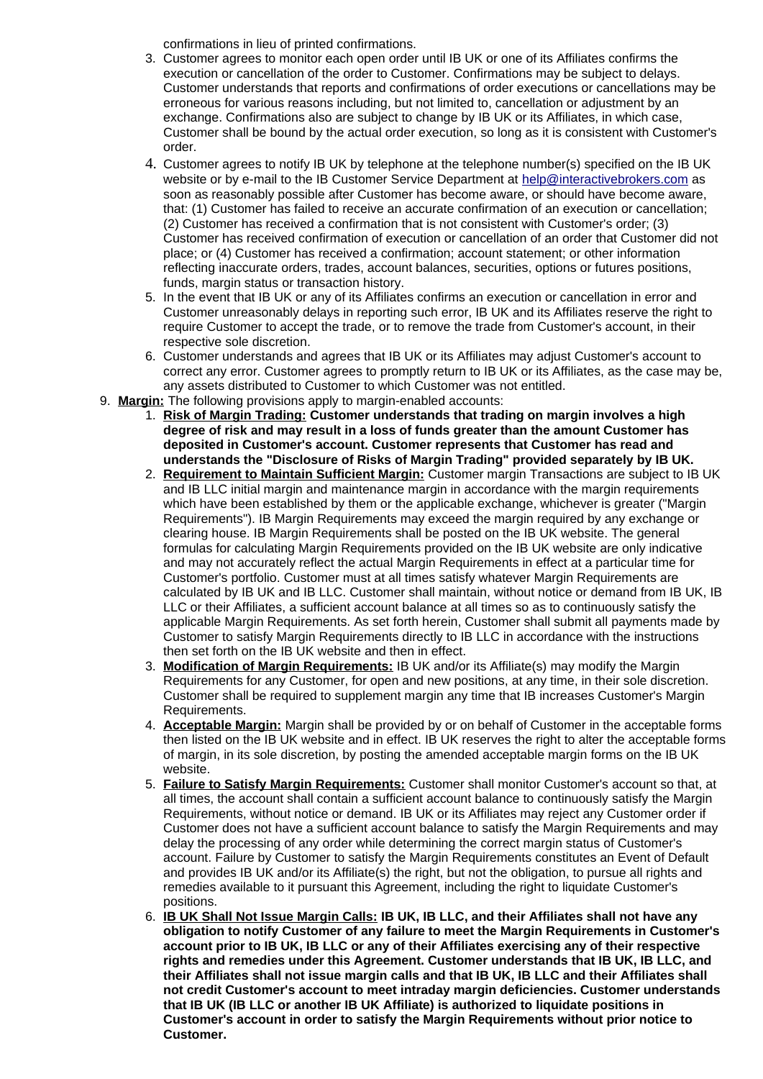confirmations in lieu of printed confirmations.

- 3. Customer agrees to monitor each open order until IB UK or one of its Affiliates confirms the execution or cancellation of the order to Customer. Confirmations may be subject to delays. Customer understands that reports and confirmations of order executions or cancellations may be erroneous for various reasons including, but not limited to, cancellation or adjustment by an exchange. Confirmations also are subject to change by IB UK or its Affiliates, in which case, Customer shall be bound by the actual order execution, so long as it is consistent with Customer's order.
- 4. Customer agrees to notify IB UK by telephone at the telephone number(s) specified on the IB UK website or by e-mail to the IB Customer Service Department at [help@interactivebrokers.com](mailto:help@interactivebrokers.com) as soon as reasonably possible after Customer has become aware, or should have become aware, that: (1) Customer has failed to receive an accurate confirmation of an execution or cancellation; (2) Customer has received a confirmation that is not consistent with Customer's order; (3) Customer has received confirmation of execution or cancellation of an order that Customer did not place; or (4) Customer has received a confirmation; account statement; or other information reflecting inaccurate orders, trades, account balances, securities, options or futures positions, funds, margin status or transaction history.
- 5. In the event that IB UK or any of its Affiliates confirms an execution or cancellation in error and Customer unreasonably delays in reporting such error, IB UK and its Affiliates reserve the right to require Customer to accept the trade, or to remove the trade from Customer's account, in their respective sole discretion.
- 6. Customer understands and agrees that IB UK or its Affiliates may adjust Customer's account to correct any error. Customer agrees to promptly return to IB UK or its Affiliates, as the case may be, any assets distributed to Customer to which Customer was not entitled.
- 9. **Margin:** The following provisions apply to margin-enabled accounts:
	- 1. **Risk of Margin Trading: Customer understands that trading on margin involves a high degree of risk and may result in a loss of funds greater than the amount Customer has deposited in Customer's account. Customer represents that Customer has read and understands the "Disclosure of Risks of Margin Trading" provided separately by IB UK.**
	- 2. **Requirement to Maintain Sufficient Margin:** Customer margin Transactions are subject to IB UK and IB LLC initial margin and maintenance margin in accordance with the margin requirements which have been established by them or the applicable exchange, whichever is greater ("Margin Requirements"). IB Margin Requirements may exceed the margin required by any exchange or clearing house. IB Margin Requirements shall be posted on the IB UK website. The general formulas for calculating Margin Requirements provided on the IB UK website are only indicative and may not accurately reflect the actual Margin Requirements in effect at a particular time for Customer's portfolio. Customer must at all times satisfy whatever Margin Requirements are calculated by IB UK and IB LLC. Customer shall maintain, without notice or demand from IB UK, IB LLC or their Affiliates, a sufficient account balance at all times so as to continuously satisfy the applicable Margin Requirements. As set forth herein, Customer shall submit all payments made by Customer to satisfy Margin Requirements directly to IB LLC in accordance with the instructions then set forth on the IB UK website and then in effect.
	- 3. **Modification of Margin Requirements:** IB UK and/or its Affiliate(s) may modify the Margin Requirements for any Customer, for open and new positions, at any time, in their sole discretion. Customer shall be required to supplement margin any time that IB increases Customer's Margin Requirements.
	- 4. **Acceptable Margin:** Margin shall be provided by or on behalf of Customer in the acceptable forms then listed on the IB UK website and in effect. IB UK reserves the right to alter the acceptable forms of margin, in its sole discretion, by posting the amended acceptable margin forms on the IB UK website.
	- 5. **Failure to Satisfy Margin Requirements:** Customer shall monitor Customer's account so that, at all times, the account shall contain a sufficient account balance to continuously satisfy the Margin Requirements, without notice or demand. IB UK or its Affiliates may reject any Customer order if Customer does not have a sufficient account balance to satisfy the Margin Requirements and may delay the processing of any order while determining the correct margin status of Customer's account. Failure by Customer to satisfy the Margin Requirements constitutes an Event of Default and provides IB UK and/or its Affiliate(s) the right, but not the obligation, to pursue all rights and remedies available to it pursuant this Agreement, including the right to liquidate Customer's positions.
	- 6. **IB UK Shall Not Issue Margin Calls: IB UK, IB LLC, and their Affiliates shall not have any obligation to notify Customer of any failure to meet the Margin Requirements in Customer's account prior to IB UK, IB LLC or any of their Affiliates exercising any of their respective rights and remedies under this Agreement. Customer understands that IB UK, IB LLC, and their Affiliates shall not issue margin calls and that IB UK, IB LLC and their Affiliates shall not credit Customer's account to meet intraday margin deficiencies. Customer understands that IB UK (IB LLC or another IB UK Affiliate) is authorized to liquidate positions in Customer's account in order to satisfy the Margin Requirements without prior notice to Customer.**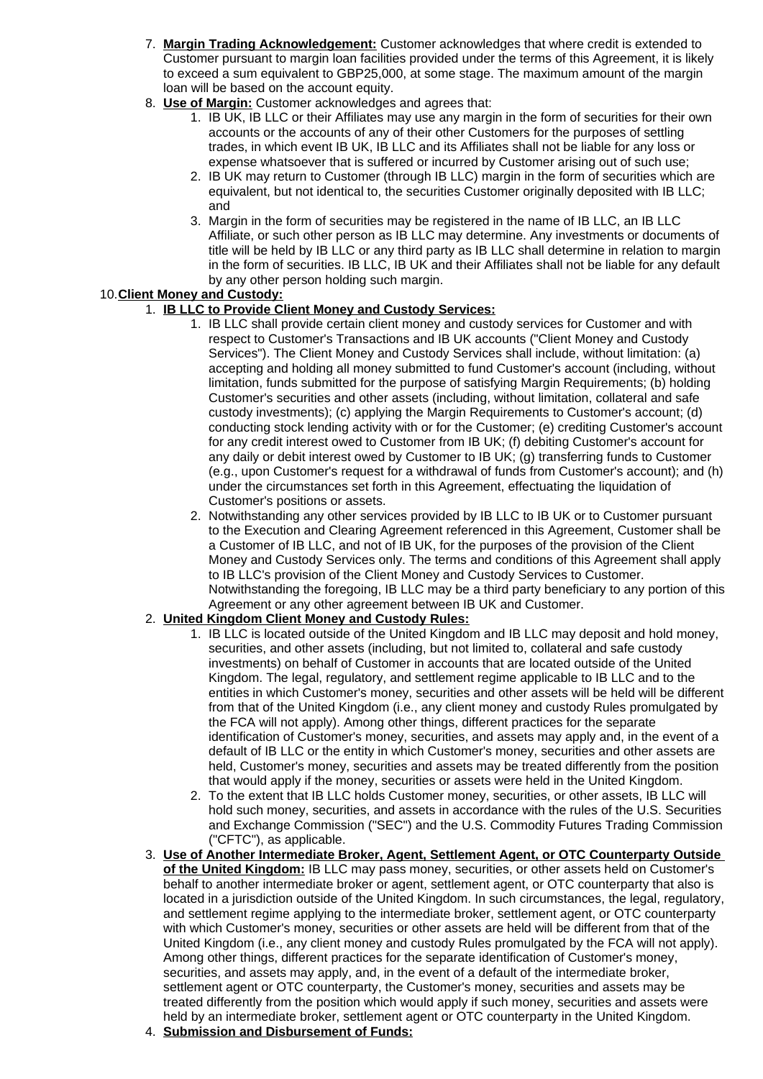- 7. **Margin Trading Acknowledgement:** Customer acknowledges that where credit is extended to Customer pursuant to margin loan facilities provided under the terms of this Agreement, it is likely to exceed a sum equivalent to GBP25,000, at some stage. The maximum amount of the margin loan will be based on the account equity.
- 8. **Use of Margin:** Customer acknowledges and agrees that:
	- 1. IB UK, IB LLC or their Affiliates may use any margin in the form of securities for their own accounts or the accounts of any of their other Customers for the purposes of settling trades, in which event IB UK, IB LLC and its Affiliates shall not be liable for any loss or expense whatsoever that is suffered or incurred by Customer arising out of such use;
	- 2. IB UK may return to Customer (through IB LLC) margin in the form of securities which are equivalent, but not identical to, the securities Customer originally deposited with IB LLC; and
	- 3. Margin in the form of securities may be registered in the name of IB LLC, an IB LLC Affiliate, or such other person as IB LLC may determine. Any investments or documents of title will be held by IB LLC or any third party as IB LLC shall determine in relation to margin in the form of securities. IB LLC, IB UK and their Affiliates shall not be liable for any default by any other person holding such margin.

# 10. **Client Money and Custody:**

# 1. **IB LLC to Provide Client Money and Custody Services:**

- 1. IB LLC shall provide certain client money and custody services for Customer and with respect to Customer's Transactions and IB UK accounts ("Client Money and Custody Services"). The Client Money and Custody Services shall include, without limitation: (a) accepting and holding all money submitted to fund Customer's account (including, without limitation, funds submitted for the purpose of satisfying Margin Requirements; (b) holding Customer's securities and other assets (including, without limitation, collateral and safe custody investments); (c) applying the Margin Requirements to Customer's account; (d) conducting stock lending activity with or for the Customer; (e) crediting Customer's account for any credit interest owed to Customer from IB UK; (f) debiting Customer's account for any daily or debit interest owed by Customer to IB UK; (g) transferring funds to Customer (e.g., upon Customer's request for a withdrawal of funds from Customer's account); and (h) under the circumstances set forth in this Agreement, effectuating the liquidation of Customer's positions or assets.
- 2. Notwithstanding any other services provided by IB LLC to IB UK or to Customer pursuant to the Execution and Clearing Agreement referenced in this Agreement, Customer shall be a Customer of IB LLC, and not of IB UK, for the purposes of the provision of the Client Money and Custody Services only. The terms and conditions of this Agreement shall apply to IB LLC's provision of the Client Money and Custody Services to Customer. Notwithstanding the foregoing, IB LLC may be a third party beneficiary to any portion of this Agreement or any other agreement between IB UK and Customer.

# 2. **United Kingdom Client Money and Custody Rules:**

- 1. IB LLC is located outside of the United Kingdom and IB LLC may deposit and hold money, securities, and other assets (including, but not limited to, collateral and safe custody investments) on behalf of Customer in accounts that are located outside of the United Kingdom. The legal, regulatory, and settlement regime applicable to IB LLC and to the entities in which Customer's money, securities and other assets will be held will be different from that of the United Kingdom (i.e., any client money and custody Rules promulgated by the FCA will not apply). Among other things, different practices for the separate identification of Customer's money, securities, and assets may apply and, in the event of a default of IB LLC or the entity in which Customer's money, securities and other assets are held, Customer's money, securities and assets may be treated differently from the position that would apply if the money, securities or assets were held in the United Kingdom.
- 2. To the extent that IB LLC holds Customer money, securities, or other assets, IB LLC will hold such money, securities, and assets in accordance with the rules of the U.S. Securities and Exchange Commission ("SEC") and the U.S. Commodity Futures Trading Commission ("CFTC"), as applicable.
- 3. **Use of Another Intermediate Broker, Agent, Settlement Agent, or OTC Counterparty Outside of the United Kingdom:** IB LLC may pass money, securities, or other assets held on Customer's behalf to another intermediate broker or agent, settlement agent, or OTC counterparty that also is located in a jurisdiction outside of the United Kingdom. In such circumstances, the legal, regulatory, and settlement regime applying to the intermediate broker, settlement agent, or OTC counterparty with which Customer's money, securities or other assets are held will be different from that of the United Kingdom (i.e., any client money and custody Rules promulgated by the FCA will not apply). Among other things, different practices for the separate identification of Customer's money, securities, and assets may apply, and, in the event of a default of the intermediate broker, settlement agent or OTC counterparty, the Customer's money, securities and assets may be treated differently from the position which would apply if such money, securities and assets were held by an intermediate broker, settlement agent or OTC counterparty in the United Kingdom.
- 4. **Submission and Disbursement of Funds:**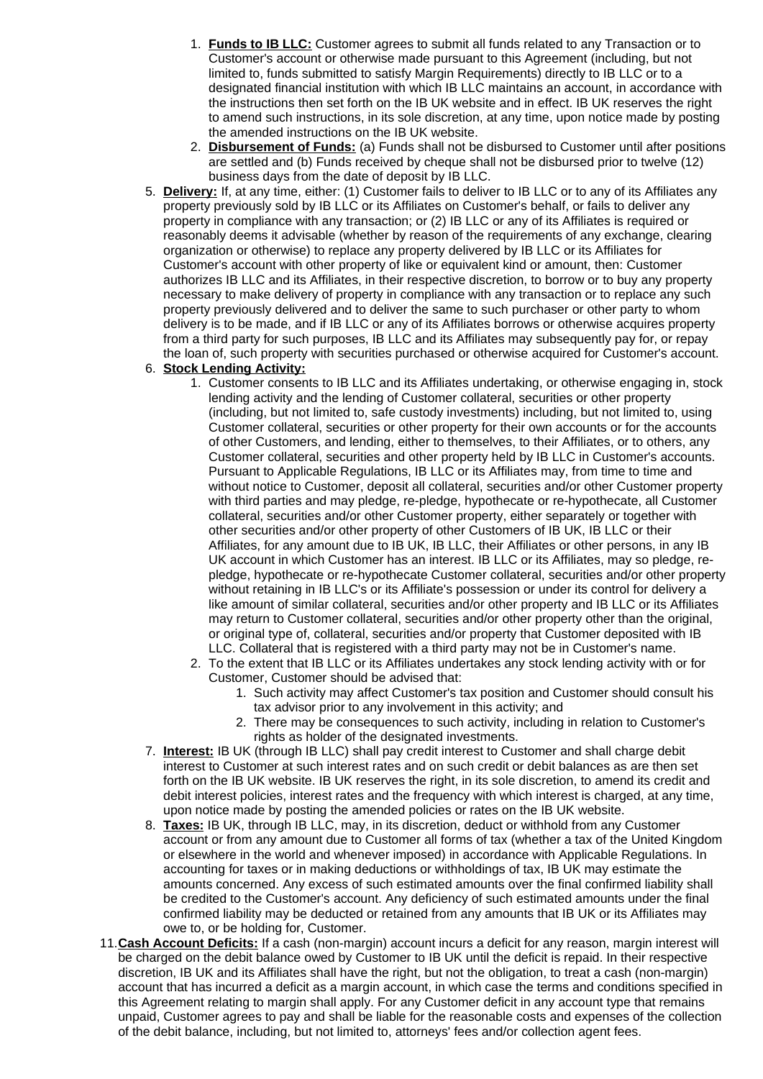- 1. **Funds to IB LLC:** Customer agrees to submit all funds related to any Transaction or to Customer's account or otherwise made pursuant to this Agreement (including, but not limited to, funds submitted to satisfy Margin Requirements) directly to IB LLC or to a designated financial institution with which IB LLC maintains an account, in accordance with the instructions then set forth on the IB UK website and in effect. IB UK reserves the right to amend such instructions, in its sole discretion, at any time, upon notice made by posting the amended instructions on the IB UK website.
- 2. **Disbursement of Funds:** (a) Funds shall not be disbursed to Customer until after positions are settled and (b) Funds received by cheque shall not be disbursed prior to twelve (12) business days from the date of deposit by IB LLC.
- 5. **Delivery:** If, at any time, either: (1) Customer fails to deliver to IB LLC or to any of its Affiliates any property previously sold by IB LLC or its Affiliates on Customer's behalf, or fails to deliver any property in compliance with any transaction; or (2) IB LLC or any of its Affiliates is required or reasonably deems it advisable (whether by reason of the requirements of any exchange, clearing organization or otherwise) to replace any property delivered by IB LLC or its Affiliates for Customer's account with other property of like or equivalent kind or amount, then: Customer authorizes IB LLC and its Affiliates, in their respective discretion, to borrow or to buy any property necessary to make delivery of property in compliance with any transaction or to replace any such property previously delivered and to deliver the same to such purchaser or other party to whom delivery is to be made, and if IB LLC or any of its Affiliates borrows or otherwise acquires property from a third party for such purposes, IB LLC and its Affiliates may subsequently pay for, or repay the loan of, such property with securities purchased or otherwise acquired for Customer's account.

# 6. **Stock Lending Activity:**

- 1. Customer consents to IB LLC and its Affiliates undertaking, or otherwise engaging in, stock lending activity and the lending of Customer collateral, securities or other property (including, but not limited to, safe custody investments) including, but not limited to, using Customer collateral, securities or other property for their own accounts or for the accounts of other Customers, and lending, either to themselves, to their Affiliates, or to others, any Customer collateral, securities and other property held by IB LLC in Customer's accounts. Pursuant to Applicable Regulations, IB LLC or its Affiliates may, from time to time and without notice to Customer, deposit all collateral, securities and/or other Customer property with third parties and may pledge, re-pledge, hypothecate or re-hypothecate, all Customer collateral, securities and/or other Customer property, either separately or together with other securities and/or other property of other Customers of IB UK, IB LLC or their Affiliates, for any amount due to IB UK, IB LLC, their Affiliates or other persons, in any IB UK account in which Customer has an interest. IB LLC or its Affiliates, may so pledge, repledge, hypothecate or re-hypothecate Customer collateral, securities and/or other property without retaining in IB LLC's or its Affiliate's possession or under its control for delivery a like amount of similar collateral, securities and/or other property and IB LLC or its Affiliates may return to Customer collateral, securities and/or other property other than the original, or original type of, collateral, securities and/or property that Customer deposited with IB LLC. Collateral that is registered with a third party may not be in Customer's name.
- 2. To the extent that IB LLC or its Affiliates undertakes any stock lending activity with or for Customer, Customer should be advised that:
	- 1. Such activity may affect Customer's tax position and Customer should consult his tax advisor prior to any involvement in this activity; and
	- 2. There may be consequences to such activity, including in relation to Customer's rights as holder of the designated investments.
- 7. **Interest:** IB UK (through IB LLC) shall pay credit interest to Customer and shall charge debit interest to Customer at such interest rates and on such credit or debit balances as are then set forth on the IB UK website. IB UK reserves the right, in its sole discretion, to amend its credit and debit interest policies, interest rates and the frequency with which interest is charged, at any time, upon notice made by posting the amended policies or rates on the IB UK website.
- 8. **Taxes:** IB UK, through IB LLC, may, in its discretion, deduct or withhold from any Customer account or from any amount due to Customer all forms of tax (whether a tax of the United Kingdom or elsewhere in the world and whenever imposed) in accordance with Applicable Regulations. In accounting for taxes or in making deductions or withholdings of tax, IB UK may estimate the amounts concerned. Any excess of such estimated amounts over the final confirmed liability shall be credited to the Customer's account. Any deficiency of such estimated amounts under the final confirmed liability may be deducted or retained from any amounts that IB UK or its Affiliates may owe to, or be holding for, Customer.
- 11. **Cash Account Deficits:** If a cash (non-margin) account incurs a deficit for any reason, margin interest will be charged on the debit balance owed by Customer to IB UK until the deficit is repaid. In their respective discretion, IB UK and its Affiliates shall have the right, but not the obligation, to treat a cash (non-margin) account that has incurred a deficit as a margin account, in which case the terms and conditions specified in this Agreement relating to margin shall apply. For any Customer deficit in any account type that remains unpaid, Customer agrees to pay and shall be liable for the reasonable costs and expenses of the collection of the debit balance, including, but not limited to, attorneys' fees and/or collection agent fees.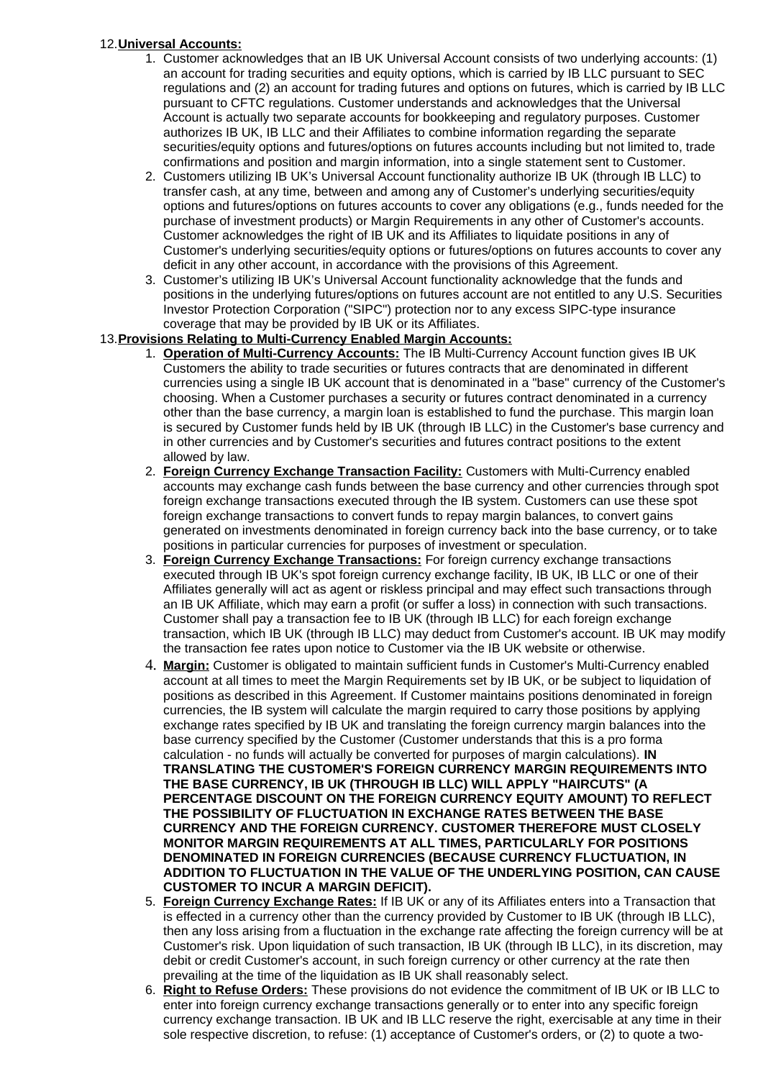# 12. **Universal Accounts:**

- 1. Customer acknowledges that an IB UK Universal Account consists of two underlying accounts: (1) an account for trading securities and equity options, which is carried by IB LLC pursuant to SEC regulations and (2) an account for trading futures and options on futures, which is carried by IB LLC pursuant to CFTC regulations. Customer understands and acknowledges that the Universal Account is actually two separate accounts for bookkeeping and regulatory purposes. Customer authorizes IB UK, IB LLC and their Affiliates to combine information regarding the separate securities/equity options and futures/options on futures accounts including but not limited to, trade confirmations and position and margin information, into a single statement sent to Customer.
- 2. Customers utilizing IB UK's Universal Account functionality authorize IB UK (through IB LLC) to transfer cash, at any time, between and among any of Customer's underlying securities/equity options and futures/options on futures accounts to cover any obligations (e.g., funds needed for the purchase of investment products) or Margin Requirements in any other of Customer's accounts. Customer acknowledges the right of IB UK and its Affiliates to liquidate positions in any of Customer's underlying securities/equity options or futures/options on futures accounts to cover any deficit in any other account, in accordance with the provisions of this Agreement.
- 3. Customer's utilizing IB UK's Universal Account functionality acknowledge that the funds and positions in the underlying futures/options on futures account are not entitled to any U.S. Securities Investor Protection Corporation ("SIPC") protection nor to any excess SIPC-type insurance coverage that may be provided by IB UK or its Affiliates.

# 13. **Provisions Relating to Multi-Currency Enabled Margin Accounts:**

- 1. **Operation of Multi-Currency Accounts:** The IB Multi-Currency Account function gives IB UK Customers the ability to trade securities or futures contracts that are denominated in different currencies using a single IB UK account that is denominated in a "base" currency of the Customer's choosing. When a Customer purchases a security or futures contract denominated in a currency other than the base currency, a margin loan is established to fund the purchase. This margin loan is secured by Customer funds held by IB UK (through IB LLC) in the Customer's base currency and in other currencies and by Customer's securities and futures contract positions to the extent allowed by law.
- 2. **Foreign Currency Exchange Transaction Facility:** Customers with Multi-Currency enabled accounts may exchange cash funds between the base currency and other currencies through spot foreign exchange transactions executed through the IB system. Customers can use these spot foreign exchange transactions to convert funds to repay margin balances, to convert gains generated on investments denominated in foreign currency back into the base currency, or to take positions in particular currencies for purposes of investment or speculation.
- 3. **Foreign Currency Exchange Transactions:** For foreign currency exchange transactions executed through IB UK's spot foreign currency exchange facility, IB UK, IB LLC or one of their Affiliates generally will act as agent or riskless principal and may effect such transactions through an IB UK Affiliate, which may earn a profit (or suffer a loss) in connection with such transactions. Customer shall pay a transaction fee to IB UK (through IB LLC) for each foreign exchange transaction, which IB UK (through IB LLC) may deduct from Customer's account. IB UK may modify the transaction fee rates upon notice to Customer via the IB UK website or otherwise.
- 4. **Margin:** Customer is obligated to maintain sufficient funds in Customer's Multi-Currency enabled account at all times to meet the Margin Requirements set by IB UK, or be subject to liquidation of positions as described in this Agreement. If Customer maintains positions denominated in foreign currencies, the IB system will calculate the margin required to carry those positions by applying exchange rates specified by IB UK and translating the foreign currency margin balances into the base currency specified by the Customer (Customer understands that this is a pro forma calculation - no funds will actually be converted for purposes of margin calculations). **IN TRANSLATING THE CUSTOMER'S FOREIGN CURRENCY MARGIN REQUIREMENTS INTO THE BASE CURRENCY, IB UK (THROUGH IB LLC) WILL APPLY "HAIRCUTS" (A PERCENTAGE DISCOUNT ON THE FOREIGN CURRENCY EQUITY AMOUNT) TO REFLECT THE POSSIBILITY OF FLUCTUATION IN EXCHANGE RATES BETWEEN THE BASE CURRENCY AND THE FOREIGN CURRENCY. CUSTOMER THEREFORE MUST CLOSELY MONITOR MARGIN REQUIREMENTS AT ALL TIMES, PARTICULARLY FOR POSITIONS DENOMINATED IN FOREIGN CURRENCIES (BECAUSE CURRENCY FLUCTUATION, IN ADDITION TO FLUCTUATION IN THE VALUE OF THE UNDERLYING POSITION, CAN CAUSE CUSTOMER TO INCUR A MARGIN DEFICIT).**
- 5. **Foreign Currency Exchange Rates:** If IB UK or any of its Affiliates enters into a Transaction that is effected in a currency other than the currency provided by Customer to IB UK (through IB LLC), then any loss arising from a fluctuation in the exchange rate affecting the foreign currency will be at Customer's risk. Upon liquidation of such transaction, IB UK (through IB LLC), in its discretion, may debit or credit Customer's account, in such foreign currency or other currency at the rate then prevailing at the time of the liquidation as IB UK shall reasonably select.
- 6. **Right to Refuse Orders:** These provisions do not evidence the commitment of IB UK or IB LLC to enter into foreign currency exchange transactions generally or to enter into any specific foreign currency exchange transaction. IB UK and IB LLC reserve the right, exercisable at any time in their sole respective discretion, to refuse: (1) acceptance of Customer's orders, or (2) to quote a two-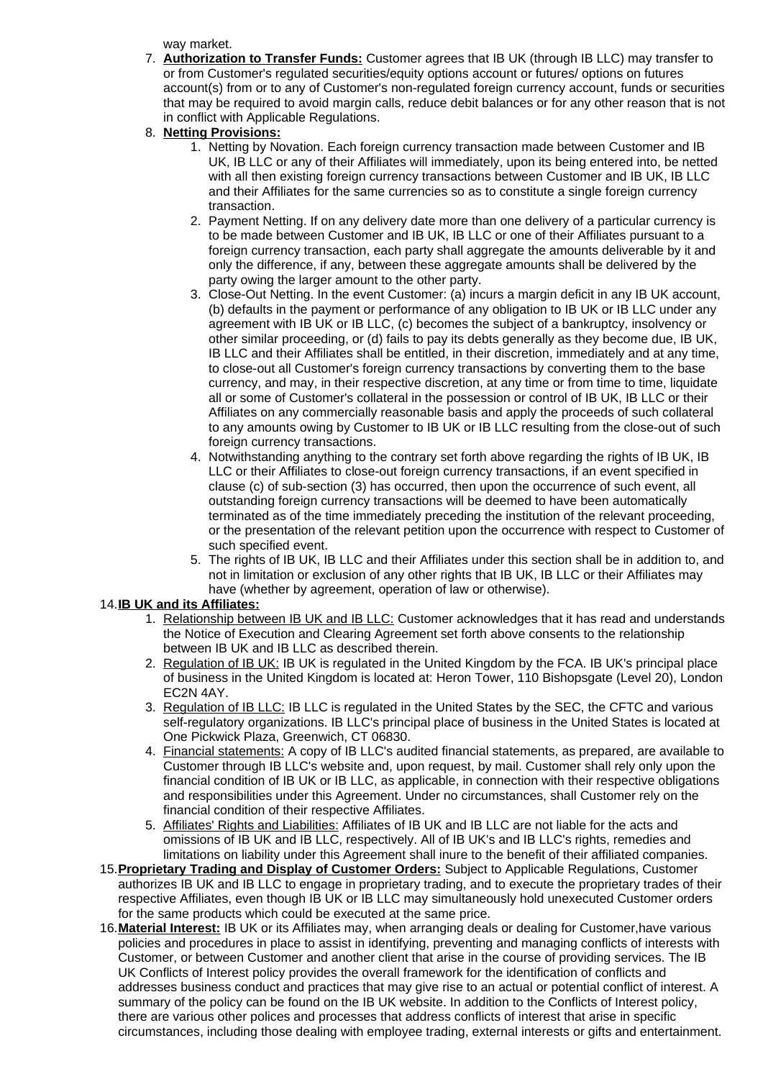way market.

- 7. **Authorization to Transfer Funds:** Customer agrees that IB UK (through IB LLC) may transfer to or from Customer's regulated securities/equity options account or futures/ options on futures account(s) from or to any of Customer's non-regulated foreign currency account, funds or securities that may be required to avoid margin calls, reduce debit balances or for any other reason that is not in conflict with Applicable Regulations.
- 8. **Netting Provisions:**
	- 1. Netting by Novation. Each foreign currency transaction made between Customer and IB UK, IB LLC or any of their Affiliates will immediately, upon its being entered into, be netted with all then existing foreign currency transactions between Customer and IB UK, IB LLC and their Affiliates for the same currencies so as to constitute a single foreign currency transaction.
	- 2. Payment Netting. If on any delivery date more than one delivery of a particular currency is to be made between Customer and IB UK, IB LLC or one of their Affiliates pursuant to a foreign currency transaction, each party shall aggregate the amounts deliverable by it and only the difference, if any, between these aggregate amounts shall be delivered by the party owing the larger amount to the other party.
	- 3. Close-Out Netting. In the event Customer: (a) incurs a margin deficit in any IB UK account, (b) defaults in the payment or performance of any obligation to IB UK or IB LLC under any agreement with IB UK or IB LLC, (c) becomes the subject of a bankruptcy, insolvency or other similar proceeding, or (d) fails to pay its debts generally as they become due, IB UK, IB LLC and their Affiliates shall be entitled, in their discretion, immediately and at any time, to close-out all Customer's foreign currency transactions by converting them to the base currency, and may, in their respective discretion, at any time or from time to time, liquidate all or some of Customer's collateral in the possession or control of IB UK, IB LLC or their Affiliates on any commercially reasonable basis and apply the proceeds of such collateral to any amounts owing by Customer to IB UK or IB LLC resulting from the close-out of such foreign currency transactions.
	- 4. Notwithstanding anything to the contrary set forth above regarding the rights of IB UK, IB LLC or their Affiliates to close-out foreign currency transactions, if an event specified in clause (c) of sub-section (3) has occurred, then upon the occurrence of such event, all outstanding foreign currency transactions will be deemed to have been automatically terminated as of the time immediately preceding the institution of the relevant proceeding, or the presentation of the relevant petition upon the occurrence with respect to Customer of such specified event.
	- 5. The rights of IB UK, IB LLC and their Affiliates under this section shall be in addition to, and not in limitation or exclusion of any other rights that IB UK, IB LLC or their Affiliates may have (whether by agreement, operation of law or otherwise).

# 14. **IB UK and its Affiliates:**

- 1. Relationship between IB UK and IB LLC: Customer acknowledges that it has read and understands the Notice of Execution and Clearing Agreement set forth above consents to the relationship between IB UK and IB LLC as described therein.
- 2. Regulation of IB UK: IB UK is regulated in the United Kingdom by the FCA. IB UK's principal place of business in the United Kingdom is located at: Heron Tower, 110 Bishopsgate (Level 20), London EC2N 4AY.
- 3. Regulation of IB LLC: IB LLC is regulated in the United States by the SEC, the CFTC and various self-regulatory organizations. IB LLC's principal place of business in the United States is located at One Pickwick Plaza, Greenwich, CT 06830.
- 4. Financial statements: A copy of IB LLC's audited financial statements, as prepared, are available to Customer through IB LLC's website and, upon request, by mail. Customer shall rely only upon the financial condition of IB UK or IB LLC, as applicable, in connection with their respective obligations and responsibilities under this Agreement. Under no circumstances, shall Customer rely on the financial condition of their respective Affiliates.
- 5. Affiliates' Rights and Liabilities: Affiliates of IB UK and IB LLC are not liable for the acts and omissions of IB UK and IB LLC, respectively. All of IB UK's and IB LLC's rights, remedies and limitations on liability under this Agreement shall inure to the benefit of their affiliated companies.
- 15. **Proprietary Trading and Display of Customer Orders:** Subject to Applicable Regulations, Customer authorizes IB UK and IB LLC to engage in proprietary trading, and to execute the proprietary trades of their respective Affiliates, even though IB UK or IB LLC may simultaneously hold unexecuted Customer orders for the same products which could be executed at the same price.
- 16. **Material Interest:** IB UK or its Affiliates may, when arranging deals or dealing for Customer,have various policies and procedures in place to assist in identifying, preventing and managing conflicts of interests with Customer, or between Customer and another client that arise in the course of providing services. The IB UK Conflicts of Interest policy provides the overall framework for the identification of conflicts and addresses business conduct and practices that may give rise to an actual or potential conflict of interest. A summary of the policy can be found on the IB UK website. In addition to the Conflicts of Interest policy, there are various other polices and processes that address conflicts of interest that arise in specific circumstances, including those dealing with employee trading, external interests or gifts and entertainment.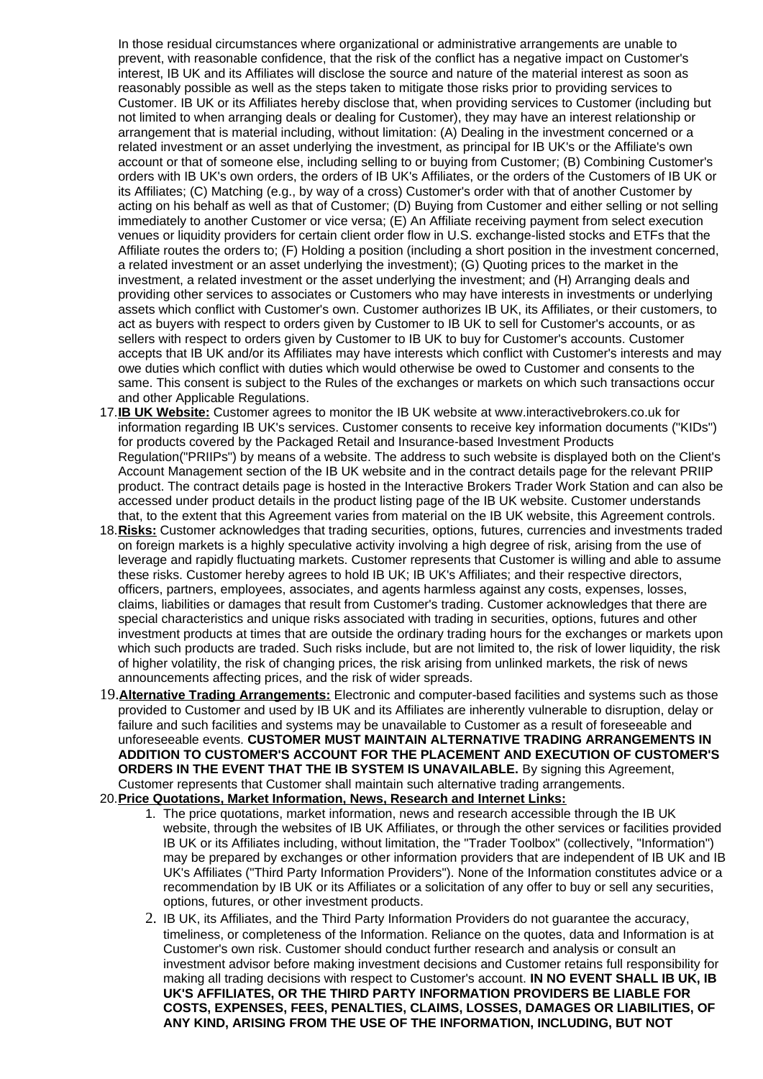In those residual circumstances where organizational or administrative arrangements are unable to prevent, with reasonable confidence, that the risk of the conflict has a negative impact on Customer's interest, IB UK and its Affiliates will disclose the source and nature of the material interest as soon as reasonably possible as well as the steps taken to mitigate those risks prior to providing services to Customer. IB UK or its Affiliates hereby disclose that, when providing services to Customer (including but not limited to when arranging deals or dealing for Customer), they may have an interest relationship or arrangement that is material including, without limitation: (A) Dealing in the investment concerned or a related investment or an asset underlying the investment, as principal for IB UK's or the Affiliate's own account or that of someone else, including selling to or buying from Customer; (B) Combining Customer's orders with IB UK's own orders, the orders of IB UK's Affiliates, or the orders of the Customers of IB UK or its Affiliates; (C) Matching (e.g., by way of a cross) Customer's order with that of another Customer by acting on his behalf as well as that of Customer; (D) Buying from Customer and either selling or not selling immediately to another Customer or vice versa; (E) An Affiliate receiving payment from select execution venues or liquidity providers for certain client order flow in U.S. exchange-listed stocks and ETFs that the Affiliate routes the orders to; (F) Holding a position (including a short position in the investment concerned, a related investment or an asset underlying the investment); (G) Quoting prices to the market in the investment, a related investment or the asset underlying the investment; and (H) Arranging deals and providing other services to associates or Customers who may have interests in investments or underlying assets which conflict with Customer's own. Customer authorizes IB UK, its Affiliates, or their customers, to act as buyers with respect to orders given by Customer to IB UK to sell for Customer's accounts, or as sellers with respect to orders given by Customer to IB UK to buy for Customer's accounts. Customer accepts that IB UK and/or its Affiliates may have interests which conflict with Customer's interests and may owe duties which conflict with duties which would otherwise be owed to Customer and consents to the same. This consent is subject to the Rules of the exchanges or markets on which such transactions occur and other Applicable Regulations.

- 17. **IB UK Website:** Customer agrees to monitor the IB UK website at www.interactivebrokers.co.uk for information regarding IB UK's services. Customer consents to receive key information documents ("KIDs") for products covered by the Packaged Retail and Insurance-based Investment Products Regulation("PRIIPs") by means of a website. The address to such website is displayed both on the Client's Account Management section of the IB UK website and in the contract details page for the relevant PRIIP product. The contract details page is hosted in the Interactive Brokers Trader Work Station and can also be accessed under product details in the product listing page of the IB UK website. Customer understands that, to the extent that this Agreement varies from material on the IB UK website, this Agreement controls.
- 18. **Risks:** Customer acknowledges that trading securities, options, futures, currencies and investments traded on foreign markets is a highly speculative activity involving a high degree of risk, arising from the use of leverage and rapidly fluctuating markets. Customer represents that Customer is willing and able to assume these risks. Customer hereby agrees to hold IB UK; IB UK's Affiliates; and their respective directors, officers, partners, employees, associates, and agents harmless against any costs, expenses, losses, claims, liabilities or damages that result from Customer's trading. Customer acknowledges that there are special characteristics and unique risks associated with trading in securities, options, futures and other investment products at times that are outside the ordinary trading hours for the exchanges or markets upon which such products are traded. Such risks include, but are not limited to, the risk of lower liquidity, the risk of higher volatility, the risk of changing prices, the risk arising from unlinked markets, the risk of news announcements affecting prices, and the risk of wider spreads.
- 19. **Alternative Trading Arrangements:** Electronic and computer-based facilities and systems such as those provided to Customer and used by IB UK and its Affiliates are inherently vulnerable to disruption, delay or failure and such facilities and systems may be unavailable to Customer as a result of foreseeable and unforeseeable events. **CUSTOMER MUST MAINTAIN ALTERNATIVE TRADING ARRANGEMENTS IN ADDITION TO CUSTOMER'S ACCOUNT FOR THE PLACEMENT AND EXECUTION OF CUSTOMER'S ORDERS IN THE EVENT THAT THE IB SYSTEM IS UNAVAILABLE.** By signing this Agreement, Customer represents that Customer shall maintain such alternative trading arrangements.
- 20. **Price Quotations, Market Information, News, Research and Internet Links:**
	- 1. The price quotations, market information, news and research accessible through the IB UK website, through the websites of IB UK Affiliates, or through the other services or facilities provided IB UK or its Affiliates including, without limitation, the "Trader Toolbox" (collectively, "Information") may be prepared by exchanges or other information providers that are independent of IB UK and IB UK's Affiliates ("Third Party Information Providers"). None of the Information constitutes advice or a recommendation by IB UK or its Affiliates or a solicitation of any offer to buy or sell any securities, options, futures, or other investment products.
	- 2. IB UK, its Affiliates, and the Third Party Information Providers do not guarantee the accuracy, timeliness, or completeness of the Information. Reliance on the quotes, data and Information is at Customer's own risk. Customer should conduct further research and analysis or consult an investment advisor before making investment decisions and Customer retains full responsibility for making all trading decisions with respect to Customer's account. **IN NO EVENT SHALL IB UK, IB UK'S AFFILIATES, OR THE THIRD PARTY INFORMATION PROVIDERS BE LIABLE FOR COSTS, EXPENSES, FEES, PENALTIES, CLAIMS, LOSSES, DAMAGES OR LIABILITIES, OF ANY KIND, ARISING FROM THE USE OF THE INFORMATION, INCLUDING, BUT NOT**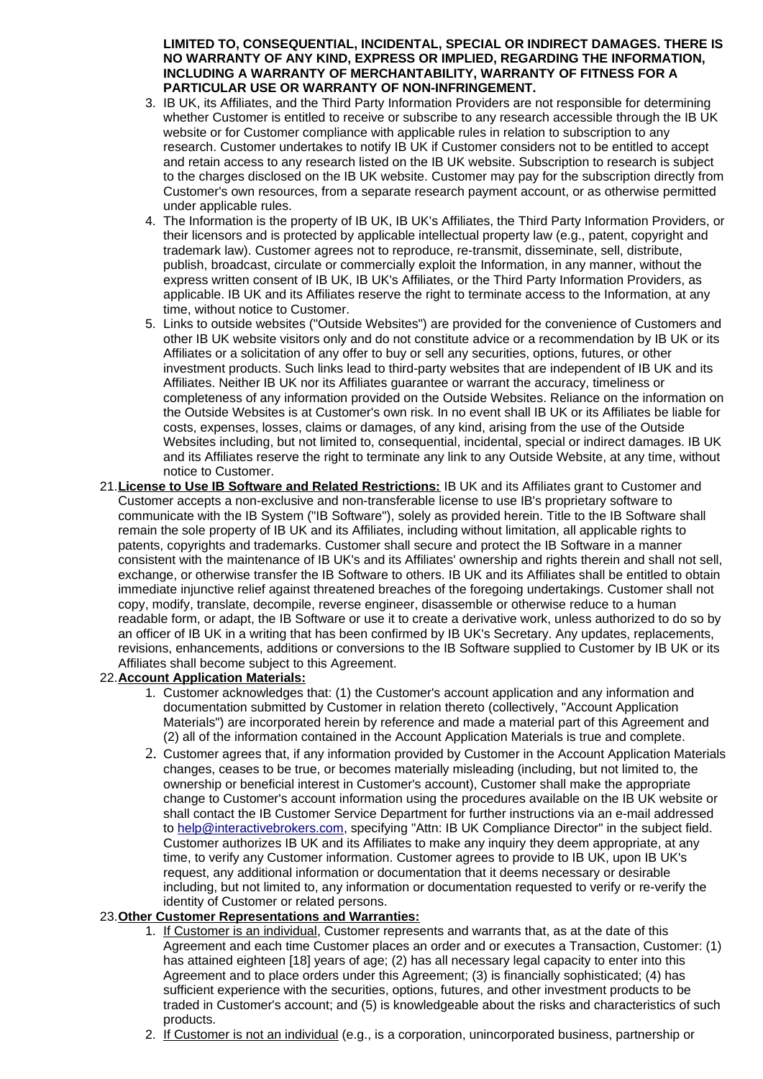**LIMITED TO, CONSEQUENTIAL, INCIDENTAL, SPECIAL OR INDIRECT DAMAGES. THERE IS NO WARRANTY OF ANY KIND, EXPRESS OR IMPLIED, REGARDING THE INFORMATION, INCLUDING A WARRANTY OF MERCHANTABILITY, WARRANTY OF FITNESS FOR A PARTICULAR USE OR WARRANTY OF NON-INFRINGEMENT.** 

- 3. IB UK, its Affiliates, and the Third Party Information Providers are not responsible for determining whether Customer is entitled to receive or subscribe to any research accessible through the IB UK website or for Customer compliance with applicable rules in relation to subscription to any research. Customer undertakes to notify IB UK if Customer considers not to be entitled to accept and retain access to any research listed on the IB UK website. Subscription to research is subject to the charges disclosed on the IB UK website. Customer may pay for the subscription directly from Customer's own resources, from a separate research payment account, or as otherwise permitted under applicable rules.
- 4. The Information is the property of IB UK, IB UK's Affiliates, the Third Party Information Providers, or their licensors and is protected by applicable intellectual property law (e.g., patent, copyright and trademark law). Customer agrees not to reproduce, re-transmit, disseminate, sell, distribute, publish, broadcast, circulate or commercially exploit the Information, in any manner, without the express written consent of IB UK, IB UK's Affiliates, or the Third Party Information Providers, as applicable. IB UK and its Affiliates reserve the right to terminate access to the Information, at any time, without notice to Customer.
- 5. Links to outside websites ("Outside Websites") are provided for the convenience of Customers and other IB UK website visitors only and do not constitute advice or a recommendation by IB UK or its Affiliates or a solicitation of any offer to buy or sell any securities, options, futures, or other investment products. Such links lead to third-party websites that are independent of IB UK and its Affiliates. Neither IB UK nor its Affiliates guarantee or warrant the accuracy, timeliness or completeness of any information provided on the Outside Websites. Reliance on the information on the Outside Websites is at Customer's own risk. In no event shall IB UK or its Affiliates be liable for costs, expenses, losses, claims or damages, of any kind, arising from the use of the Outside Websites including, but not limited to, consequential, incidental, special or indirect damages. IB UK and its Affiliates reserve the right to terminate any link to any Outside Website, at any time, without notice to Customer.
- 21. **License to Use IB Software and Related Restrictions:** IB UK and its Affiliates grant to Customer and Customer accepts a non-exclusive and non-transferable license to use IB's proprietary software to communicate with the IB System ("IB Software"), solely as provided herein. Title to the IB Software shall remain the sole property of IB UK and its Affiliates, including without limitation, all applicable rights to patents, copyrights and trademarks. Customer shall secure and protect the IB Software in a manner consistent with the maintenance of IB UK's and its Affiliates' ownership and rights therein and shall not sell, exchange, or otherwise transfer the IB Software to others. IB UK and its Affiliates shall be entitled to obtain immediate injunctive relief against threatened breaches of the foregoing undertakings. Customer shall not copy, modify, translate, decompile, reverse engineer, disassemble or otherwise reduce to a human readable form, or adapt, the IB Software or use it to create a derivative work, unless authorized to do so by an officer of IB UK in a writing that has been confirmed by IB UK's Secretary. Any updates, replacements, revisions, enhancements, additions or conversions to the IB Software supplied to Customer by IB UK or its Affiliates shall become subject to this Agreement.

# 22. **Account Application Materials:**

- 1. Customer acknowledges that: (1) the Customer's account application and any information and documentation submitted by Customer in relation thereto (collectively, "Account Application Materials") are incorporated herein by reference and made a material part of this Agreement and (2) all of the information contained in the Account Application Materials is true and complete.
- 2. Customer agrees that, if any information provided by Customer in the Account Application Materials changes, ceases to be true, or becomes materially misleading (including, but not limited to, the ownership or beneficial interest in Customer's account), Customer shall make the appropriate change to Customer's account information using the procedures available on the IB UK website or shall contact the IB Customer Service Department for further instructions via an e-mail addressed to [help@interactivebrokers.com,](mailto:help@interactivebrokers.com) specifying "Attn: IB UK Compliance Director" in the subject field. Customer authorizes IB UK and its Affiliates to make any inquiry they deem appropriate, at any time, to verify any Customer information. Customer agrees to provide to IB UK, upon IB UK's request, any additional information or documentation that it deems necessary or desirable including, but not limited to, any information or documentation requested to verify or re-verify the identity of Customer or related persons.

# 23. **Other Customer Representations and Warranties:**

- 1. If Customer is an individual, Customer represents and warrants that, as at the date of this Agreement and each time Customer places an order and or executes a Transaction, Customer: (1) has attained eighteen [18] years of age; (2) has all necessary legal capacity to enter into this Agreement and to place orders under this Agreement; (3) is financially sophisticated; (4) has sufficient experience with the securities, options, futures, and other investment products to be traded in Customer's account; and (5) is knowledgeable about the risks and characteristics of such products.
- 2. If Customer is not an individual (e.g., is a corporation, unincorporated business, partnership or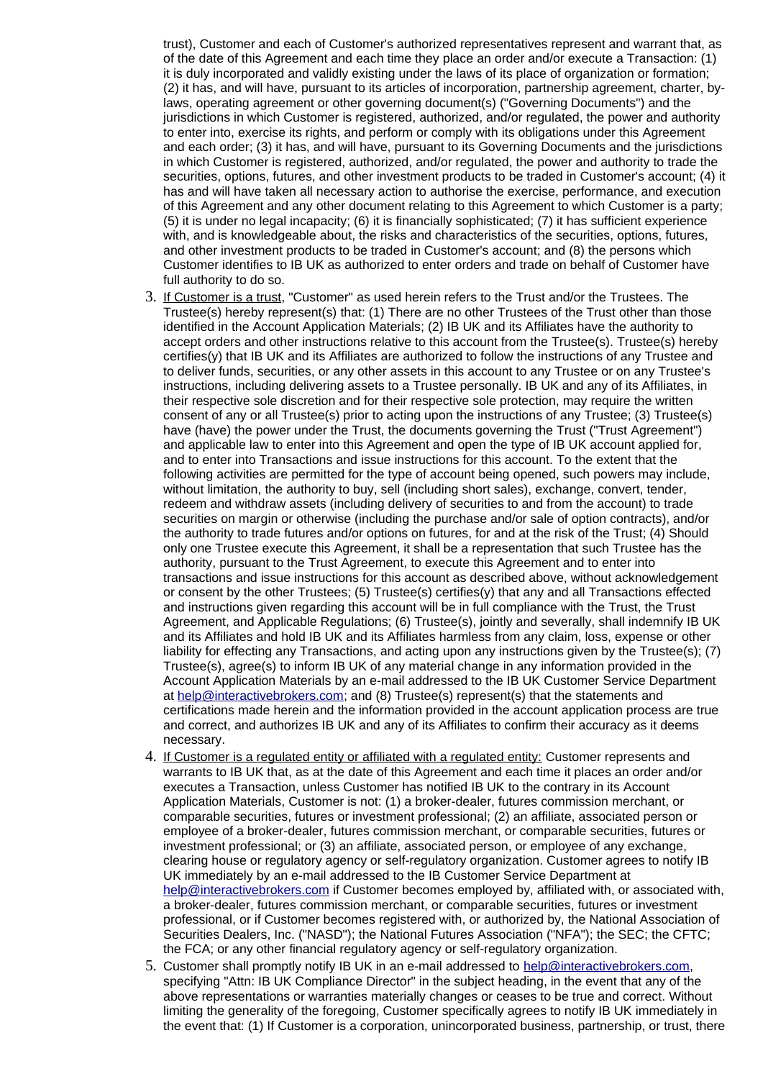trust), Customer and each of Customer's authorized representatives represent and warrant that, as of the date of this Agreement and each time they place an order and/or execute a Transaction: (1) it is duly incorporated and validly existing under the laws of its place of organization or formation; (2) it has, and will have, pursuant to its articles of incorporation, partnership agreement, charter, bylaws, operating agreement or other governing document(s) ("Governing Documents") and the jurisdictions in which Customer is registered, authorized, and/or regulated, the power and authority to enter into, exercise its rights, and perform or comply with its obligations under this Agreement and each order; (3) it has, and will have, pursuant to its Governing Documents and the jurisdictions in which Customer is registered, authorized, and/or regulated, the power and authority to trade the securities, options, futures, and other investment products to be traded in Customer's account; (4) it has and will have taken all necessary action to authorise the exercise, performance, and execution of this Agreement and any other document relating to this Agreement to which Customer is a party; (5) it is under no legal incapacity; (6) it is financially sophisticated; (7) it has sufficient experience with, and is knowledgeable about, the risks and characteristics of the securities, options, futures, and other investment products to be traded in Customer's account; and (8) the persons which Customer identifies to IB UK as authorized to enter orders and trade on behalf of Customer have full authority to do so.

- 3. If Customer is a trust, "Customer" as used herein refers to the Trust and/or the Trustees. The Trustee(s) hereby represent(s) that: (1) There are no other Trustees of the Trust other than those identified in the Account Application Materials; (2) IB UK and its Affiliates have the authority to accept orders and other instructions relative to this account from the Trustee(s). Trustee(s) hereby certifies(y) that IB UK and its Affiliates are authorized to follow the instructions of any Trustee and to deliver funds, securities, or any other assets in this account to any Trustee or on any Trustee's instructions, including delivering assets to a Trustee personally. IB UK and any of its Affiliates, in their respective sole discretion and for their respective sole protection, may require the written consent of any or all Trustee(s) prior to acting upon the instructions of any Trustee; (3) Trustee(s) have (have) the power under the Trust, the documents governing the Trust ("Trust Agreement") and applicable law to enter into this Agreement and open the type of IB UK account applied for, and to enter into Transactions and issue instructions for this account. To the extent that the following activities are permitted for the type of account being opened, such powers may include, without limitation, the authority to buy, sell (including short sales), exchange, convert, tender, redeem and withdraw assets (including delivery of securities to and from the account) to trade securities on margin or otherwise (including the purchase and/or sale of option contracts), and/or the authority to trade futures and/or options on futures, for and at the risk of the Trust; (4) Should only one Trustee execute this Agreement, it shall be a representation that such Trustee has the authority, pursuant to the Trust Agreement, to execute this Agreement and to enter into transactions and issue instructions for this account as described above, without acknowledgement or consent by the other Trustees; (5) Trustee(s) certifies(y) that any and all Transactions effected and instructions given regarding this account will be in full compliance with the Trust, the Trust Agreement, and Applicable Regulations; (6) Trustee(s), jointly and severally, shall indemnify IB UK and its Affiliates and hold IB UK and its Affiliates harmless from any claim, loss, expense or other liability for effecting any Transactions, and acting upon any instructions given by the Trustee(s); (7) Trustee(s), agree(s) to inform IB UK of any material change in any information provided in the Account Application Materials by an e-mail addressed to the IB UK Customer Service Department at [help@interactivebrokers.com;](mailto:help@interactivebrokers.com) and (8) Trustee(s) represent(s) that the statements and certifications made herein and the information provided in the account application process are true and correct, and authorizes IB UK and any of its Affiliates to confirm their accuracy as it deems necessary.
- 4. If Customer is a regulated entity or affiliated with a regulated entity: Customer represents and warrants to IB UK that, as at the date of this Agreement and each time it places an order and/or executes a Transaction, unless Customer has notified IB UK to the contrary in its Account Application Materials, Customer is not: (1) a broker-dealer, futures commission merchant, or comparable securities, futures or investment professional; (2) an affiliate, associated person or employee of a broker-dealer, futures commission merchant, or comparable securities, futures or investment professional; or (3) an affiliate, associated person, or employee of any exchange, clearing house or regulatory agency or self-regulatory organization. Customer agrees to notify IB UK immediately by an e-mail addressed to the IB Customer Service Department at [help@interactivebrokers.com](mailto:help@interactivebrokers.com) if Customer becomes employed by, affiliated with, or associated with, a broker-dealer, futures commission merchant, or comparable securities, futures or investment professional, or if Customer becomes registered with, or authorized by, the National Association of Securities Dealers, Inc. ("NASD"); the National Futures Association ("NFA"); the SEC; the CFTC; the FCA; or any other financial regulatory agency or self-regulatory organization.
- 5. Customer shall promptly notify IB UK in an e-mail addressed to [help@interactivebrokers.com,](mailto:help@interactivebrokers.com) specifying "Attn: IB UK Compliance Director" in the subject heading, in the event that any of the above representations or warranties materially changes or ceases to be true and correct. Without limiting the generality of the foregoing, Customer specifically agrees to notify IB UK immediately in the event that: (1) If Customer is a corporation, unincorporated business, partnership, or trust, there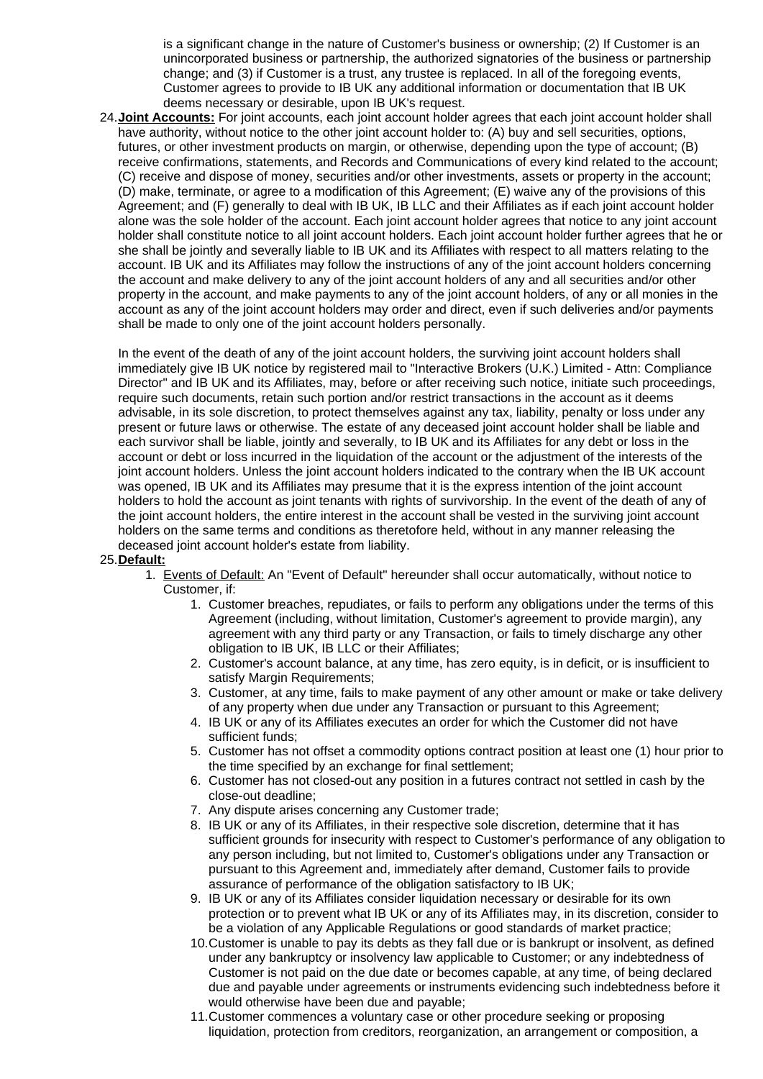is a significant change in the nature of Customer's business or ownership; (2) If Customer is an unincorporated business or partnership, the authorized signatories of the business or partnership change; and (3) if Customer is a trust, any trustee is replaced. In all of the foregoing events, Customer agrees to provide to IB UK any additional information or documentation that IB UK deems necessary or desirable, upon IB UK's request.

24. **Joint Accounts:** For joint accounts, each joint account holder agrees that each joint account holder shall have authority, without notice to the other joint account holder to: (A) buy and sell securities, options, futures, or other investment products on margin, or otherwise, depending upon the type of account; (B) receive confirmations, statements, and Records and Communications of every kind related to the account; (C) receive and dispose of money, securities and/or other investments, assets or property in the account; (D) make, terminate, or agree to a modification of this Agreement; (E) waive any of the provisions of this Agreement; and (F) generally to deal with IB UK, IB LLC and their Affiliates as if each joint account holder alone was the sole holder of the account. Each joint account holder agrees that notice to any joint account holder shall constitute notice to all joint account holders. Each joint account holder further agrees that he or she shall be jointly and severally liable to IB UK and its Affiliates with respect to all matters relating to the account. IB UK and its Affiliates may follow the instructions of any of the joint account holders concerning the account and make delivery to any of the joint account holders of any and all securities and/or other property in the account, and make payments to any of the joint account holders, of any or all monies in the account as any of the joint account holders may order and direct, even if such deliveries and/or payments shall be made to only one of the joint account holders personally.

In the event of the death of any of the joint account holders, the surviving joint account holders shall immediately give IB UK notice by registered mail to "Interactive Brokers (U.K.) Limited - Attn: Compliance Director" and IB UK and its Affiliates, may, before or after receiving such notice, initiate such proceedings, require such documents, retain such portion and/or restrict transactions in the account as it deems advisable, in its sole discretion, to protect themselves against any tax, liability, penalty or loss under any present or future laws or otherwise. The estate of any deceased joint account holder shall be liable and each survivor shall be liable, jointly and severally, to IB UK and its Affiliates for any debt or loss in the account or debt or loss incurred in the liquidation of the account or the adjustment of the interests of the joint account holders. Unless the joint account holders indicated to the contrary when the IB UK account was opened, IB UK and its Affiliates may presume that it is the express intention of the joint account holders to hold the account as joint tenants with rights of survivorship. In the event of the death of any of the joint account holders, the entire interest in the account shall be vested in the surviving joint account holders on the same terms and conditions as theretofore held, without in any manner releasing the deceased joint account holder's estate from liability.

#### 25. **Default:**

- 1. Events of Default: An "Event of Default" hereunder shall occur automatically, without notice to Customer, if:
	- 1. Customer breaches, repudiates, or fails to perform any obligations under the terms of this Agreement (including, without limitation, Customer's agreement to provide margin), any agreement with any third party or any Transaction, or fails to timely discharge any other obligation to IB UK, IB LLC or their Affiliates;
	- 2. Customer's account balance, at any time, has zero equity, is in deficit, or is insufficient to satisfy Margin Requirements;
	- 3. Customer, at any time, fails to make payment of any other amount or make or take delivery of any property when due under any Transaction or pursuant to this Agreement;
	- 4. IB UK or any of its Affiliates executes an order for which the Customer did not have sufficient funds;
	- 5. Customer has not offset a commodity options contract position at least one (1) hour prior to the time specified by an exchange for final settlement;
	- 6. Customer has not closed-out any position in a futures contract not settled in cash by the close-out deadline;
	- 7. Any dispute arises concerning any Customer trade;
	- 8. IB UK or any of its Affiliates, in their respective sole discretion, determine that it has sufficient grounds for insecurity with respect to Customer's performance of any obligation to any person including, but not limited to, Customer's obligations under any Transaction or pursuant to this Agreement and, immediately after demand, Customer fails to provide assurance of performance of the obligation satisfactory to IB UK;
	- 9. IB UK or any of its Affiliates consider liquidation necessary or desirable for its own protection or to prevent what IB UK or any of its Affiliates may, in its discretion, consider to be a violation of any Applicable Regulations or good standards of market practice;
	- 10.Customer is unable to pay its debts as they fall due or is bankrupt or insolvent, as defined under any bankruptcy or insolvency law applicable to Customer; or any indebtedness of Customer is not paid on the due date or becomes capable, at any time, of being declared due and payable under agreements or instruments evidencing such indebtedness before it would otherwise have been due and payable;
	- 11.Customer commences a voluntary case or other procedure seeking or proposing liquidation, protection from creditors, reorganization, an arrangement or composition, a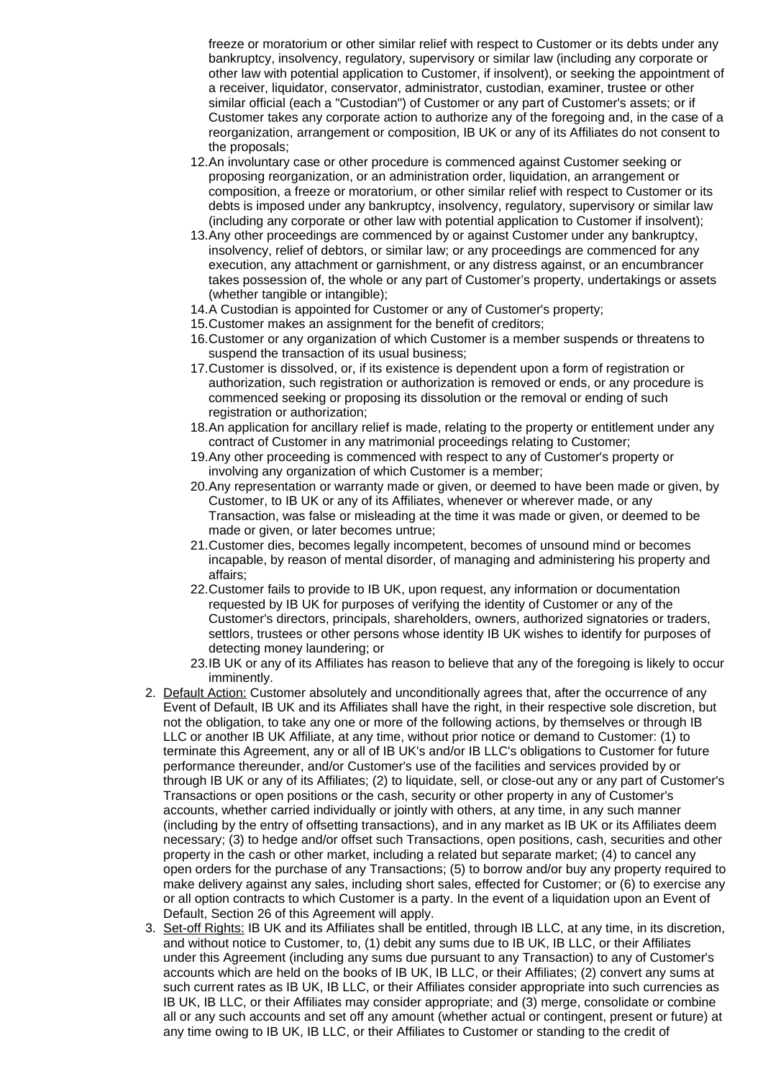freeze or moratorium or other similar relief with respect to Customer or its debts under any bankruptcy, insolvency, regulatory, supervisory or similar law (including any corporate or other law with potential application to Customer, if insolvent), or seeking the appointment of a receiver, liquidator, conservator, administrator, custodian, examiner, trustee or other similar official (each a "Custodian") of Customer or any part of Customer's assets; or if Customer takes any corporate action to authorize any of the foregoing and, in the case of a reorganization, arrangement or composition, IB UK or any of its Affiliates do not consent to the proposals;

- 12.An involuntary case or other procedure is commenced against Customer seeking or proposing reorganization, or an administration order, liquidation, an arrangement or composition, a freeze or moratorium, or other similar relief with respect to Customer or its debts is imposed under any bankruptcy, insolvency, regulatory, supervisory or similar law (including any corporate or other law with potential application to Customer if insolvent);
- 13.Any other proceedings are commenced by or against Customer under any bankruptcy, insolvency, relief of debtors, or similar law; or any proceedings are commenced for any execution, any attachment or garnishment, or any distress against, or an encumbrancer takes possession of, the whole or any part of Customer's property, undertakings or assets (whether tangible or intangible);
- 14.A Custodian is appointed for Customer or any of Customer's property;
- 15.Customer makes an assignment for the benefit of creditors;
- 16.Customer or any organization of which Customer is a member suspends or threatens to suspend the transaction of its usual business;
- 17.Customer is dissolved, or, if its existence is dependent upon a form of registration or authorization, such registration or authorization is removed or ends, or any procedure is commenced seeking or proposing its dissolution or the removal or ending of such registration or authorization;
- 18.An application for ancillary relief is made, relating to the property or entitlement under any contract of Customer in any matrimonial proceedings relating to Customer;
- 19.Any other proceeding is commenced with respect to any of Customer's property or involving any organization of which Customer is a member;
- 20.Any representation or warranty made or given, or deemed to have been made or given, by Customer, to IB UK or any of its Affiliates, whenever or wherever made, or any Transaction, was false or misleading at the time it was made or given, or deemed to be made or given, or later becomes untrue;
- 21.Customer dies, becomes legally incompetent, becomes of unsound mind or becomes incapable, by reason of mental disorder, of managing and administering his property and affairs;
- 22.Customer fails to provide to IB UK, upon request, any information or documentation requested by IB UK for purposes of verifying the identity of Customer or any of the Customer's directors, principals, shareholders, owners, authorized signatories or traders, settlors, trustees or other persons whose identity IB UK wishes to identify for purposes of detecting money laundering; or
- 23.IB UK or any of its Affiliates has reason to believe that any of the foregoing is likely to occur imminently.
- 2. Default Action: Customer absolutely and unconditionally agrees that, after the occurrence of any Event of Default, IB UK and its Affiliates shall have the right, in their respective sole discretion, but not the obligation, to take any one or more of the following actions, by themselves or through IB LLC or another IB UK Affiliate, at any time, without prior notice or demand to Customer: (1) to terminate this Agreement, any or all of IB UK's and/or IB LLC's obligations to Customer for future performance thereunder, and/or Customer's use of the facilities and services provided by or through IB UK or any of its Affiliates; (2) to liquidate, sell, or close-out any or any part of Customer's Transactions or open positions or the cash, security or other property in any of Customer's accounts, whether carried individually or jointly with others, at any time, in any such manner (including by the entry of offsetting transactions), and in any market as IB UK or its Affiliates deem necessary; (3) to hedge and/or offset such Transactions, open positions, cash, securities and other property in the cash or other market, including a related but separate market; (4) to cancel any open orders for the purchase of any Transactions; (5) to borrow and/or buy any property required to make delivery against any sales, including short sales, effected for Customer; or (6) to exercise any or all option contracts to which Customer is a party. In the event of a liquidation upon an Event of Default, Section 26 of this Agreement will apply.
- 3. Set-off Rights: IB UK and its Affiliates shall be entitled, through IB LLC, at any time, in its discretion, and without notice to Customer, to, (1) debit any sums due to IB UK, IB LLC, or their Affiliates under this Agreement (including any sums due pursuant to any Transaction) to any of Customer's accounts which are held on the books of IB UK, IB LLC, or their Affiliates; (2) convert any sums at such current rates as IB UK, IB LLC, or their Affiliates consider appropriate into such currencies as IB UK, IB LLC, or their Affiliates may consider appropriate; and (3) merge, consolidate or combine all or any such accounts and set off any amount (whether actual or contingent, present or future) at any time owing to IB UK, IB LLC, or their Affiliates to Customer or standing to the credit of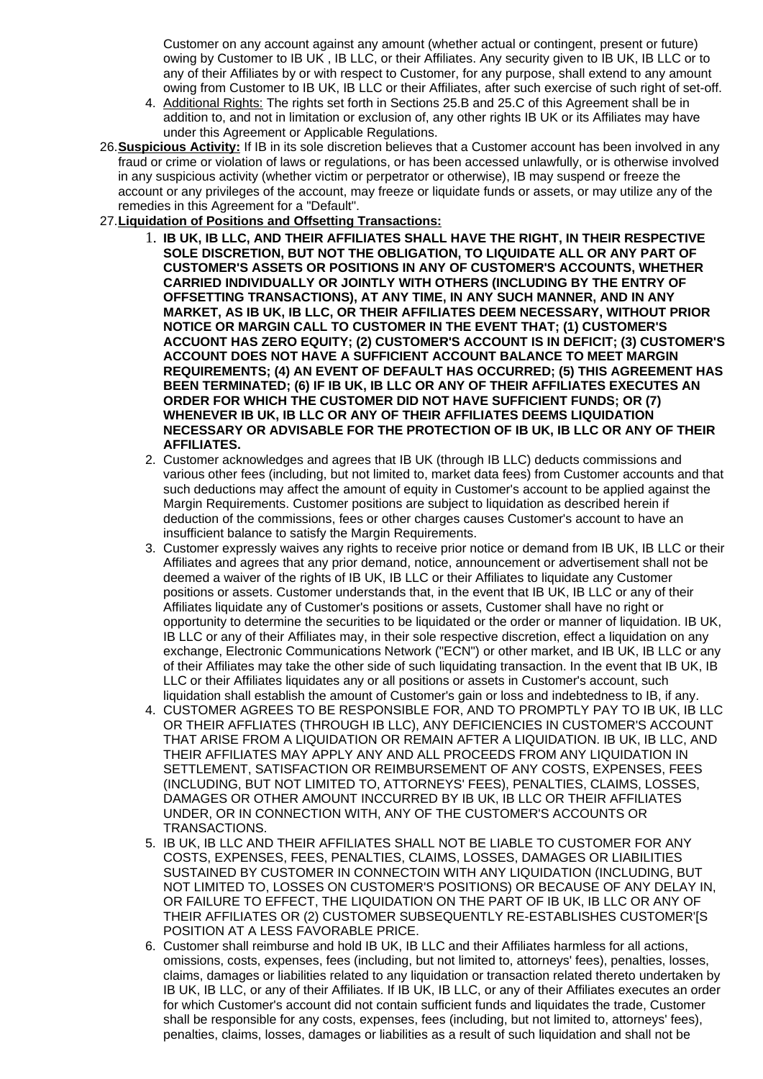Customer on any account against any amount (whether actual or contingent, present or future) owing by Customer to IB UK , IB LLC, or their Affiliates. Any security given to IB UK, IB LLC or to any of their Affiliates by or with respect to Customer, for any purpose, shall extend to any amount owing from Customer to IB UK, IB LLC or their Affiliates, after such exercise of such right of set-off.

- 4. Additional Rights: The rights set forth in Sections 25.B and 25.C of this Agreement shall be in addition to, and not in limitation or exclusion of, any other rights IB UK or its Affiliates may have under this Agreement or Applicable Regulations.
- 26. **Suspicious Activity:** If IB in its sole discretion believes that a Customer account has been involved in any fraud or crime or violation of laws or regulations, or has been accessed unlawfully, or is otherwise involved in any suspicious activity (whether victim or perpetrator or otherwise), IB may suspend or freeze the account or any privileges of the account, may freeze or liquidate funds or assets, or may utilize any of the remedies in this Agreement for a "Default".
- 27. **Liquidation of Positions and Offsetting Transactions:**
	- 1. **IB UK, IB LLC, AND THEIR AFFILIATES SHALL HAVE THE RIGHT, IN THEIR RESPECTIVE SOLE DISCRETION, BUT NOT THE OBLIGATION, TO LIQUIDATE ALL OR ANY PART OF CUSTOMER'S ASSETS OR POSITIONS IN ANY OF CUSTOMER'S ACCOUNTS, WHETHER CARRIED INDIVIDUALLY OR JOINTLY WITH OTHERS (INCLUDING BY THE ENTRY OF OFFSETTING TRANSACTIONS), AT ANY TIME, IN ANY SUCH MANNER, AND IN ANY MARKET, AS IB UK, IB LLC, OR THEIR AFFILIATES DEEM NECESSARY, WITHOUT PRIOR NOTICE OR MARGIN CALL TO CUSTOMER IN THE EVENT THAT; (1) CUSTOMER'S ACCUONT HAS ZERO EQUITY; (2) CUSTOMER'S ACCOUNT IS IN DEFICIT; (3) CUSTOMER'S ACCOUNT DOES NOT HAVE A SUFFICIENT ACCOUNT BALANCE TO MEET MARGIN REQUIREMENTS; (4) AN EVENT OF DEFAULT HAS OCCURRED; (5) THIS AGREEMENT HAS BEEN TERMINATED; (6) IF IB UK, IB LLC OR ANY OF THEIR AFFILIATES EXECUTES AN ORDER FOR WHICH THE CUSTOMER DID NOT HAVE SUFFICIENT FUNDS; OR (7) WHENEVER IB UK, IB LLC OR ANY OF THEIR AFFILIATES DEEMS LIQUIDATION NECESSARY OR ADVISABLE FOR THE PROTECTION OF IB UK, IB LLC OR ANY OF THEIR AFFILIATES.**
	- 2. Customer acknowledges and agrees that IB UK (through IB LLC) deducts commissions and various other fees (including, but not limited to, market data fees) from Customer accounts and that such deductions may affect the amount of equity in Customer's account to be applied against the Margin Requirements. Customer positions are subject to liquidation as described herein if deduction of the commissions, fees or other charges causes Customer's account to have an insufficient balance to satisfy the Margin Requirements.
	- 3. Customer expressly waives any rights to receive prior notice or demand from IB UK, IB LLC or their Affiliates and agrees that any prior demand, notice, announcement or advertisement shall not be deemed a waiver of the rights of IB UK, IB LLC or their Affiliates to liquidate any Customer positions or assets. Customer understands that, in the event that IB UK, IB LLC or any of their Affiliates liquidate any of Customer's positions or assets, Customer shall have no right or opportunity to determine the securities to be liquidated or the order or manner of liquidation. IB UK, IB LLC or any of their Affiliates may, in their sole respective discretion, effect a liquidation on any exchange, Electronic Communications Network ("ECN") or other market, and IB UK, IB LLC or any of their Affiliates may take the other side of such liquidating transaction. In the event that IB UK, IB LLC or their Affiliates liquidates any or all positions or assets in Customer's account, such liquidation shall establish the amount of Customer's gain or loss and indebtedness to IB, if any.
	- 4. CUSTOMER AGREES TO BE RESPONSIBLE FOR, AND TO PROMPTLY PAY TO IB UK, IB LLC OR THEIR AFFLIATES (THROUGH IB LLC), ANY DEFICIENCIES IN CUSTOMER'S ACCOUNT THAT ARISE FROM A LIQUIDATION OR REMAIN AFTER A LIQUIDATION. IB UK, IB LLC, AND THEIR AFFILIATES MAY APPLY ANY AND ALL PROCEEDS FROM ANY LIQUIDATION IN SETTLEMENT, SATISFACTION OR REIMBURSEMENT OF ANY COSTS, EXPENSES, FEES (INCLUDING, BUT NOT LIMITED TO, ATTORNEYS' FEES), PENALTIES, CLAIMS, LOSSES, DAMAGES OR OTHER AMOUNT INCCURRED BY IB UK, IB LLC OR THEIR AFFILIATES UNDER, OR IN CONNECTION WITH, ANY OF THE CUSTOMER'S ACCOUNTS OR TRANSACTIONS.
	- 5. IB UK, IB LLC AND THEIR AFFILIATES SHALL NOT BE LIABLE TO CUSTOMER FOR ANY COSTS, EXPENSES, FEES, PENALTIES, CLAIMS, LOSSES, DAMAGES OR LIABILITIES SUSTAINED BY CUSTOMER IN CONNECTOIN WITH ANY LIQUIDATION (INCLUDING, BUT NOT LIMITED TO, LOSSES ON CUSTOMER'S POSITIONS) OR BECAUSE OF ANY DELAY IN, OR FAILURE TO EFFECT, THE LIQUIDATION ON THE PART OF IB UK, IB LLC OR ANY OF THEIR AFFILIATES OR (2) CUSTOMER SUBSEQUENTLY RE-ESTABLISHES CUSTOMER'[S POSITION AT A LESS FAVORABLE PRICE.
	- 6. Customer shall reimburse and hold IB UK, IB LLC and their Affiliates harmless for all actions, omissions, costs, expenses, fees (including, but not limited to, attorneys' fees), penalties, losses, claims, damages or liabilities related to any liquidation or transaction related thereto undertaken by IB UK, IB LLC, or any of their Affiliates. If IB UK, IB LLC, or any of their Affiliates executes an order for which Customer's account did not contain sufficient funds and liquidates the trade, Customer shall be responsible for any costs, expenses, fees (including, but not limited to, attorneys' fees), penalties, claims, losses, damages or liabilities as a result of such liquidation and shall not be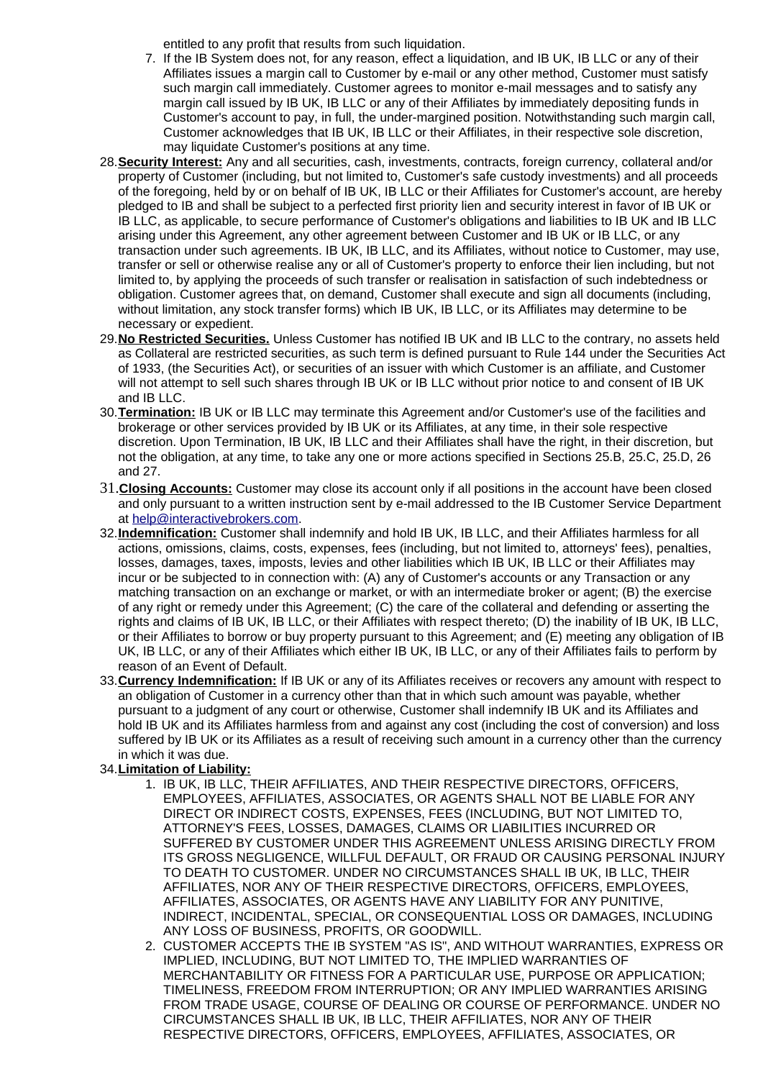entitled to any profit that results from such liquidation.

- 7. If the IB System does not, for any reason, effect a liquidation, and IB UK, IB LLC or any of their Affiliates issues a margin call to Customer by e-mail or any other method, Customer must satisfy such margin call immediately. Customer agrees to monitor e-mail messages and to satisfy any margin call issued by IB UK, IB LLC or any of their Affiliates by immediately depositing funds in Customer's account to pay, in full, the under-margined position. Notwithstanding such margin call, Customer acknowledges that IB UK, IB LLC or their Affiliates, in their respective sole discretion, may liquidate Customer's positions at any time.
- 28. **Security Interest:** Any and all securities, cash, investments, contracts, foreign currency, collateral and/or property of Customer (including, but not limited to, Customer's safe custody investments) and all proceeds of the foregoing, held by or on behalf of IB UK, IB LLC or their Affiliates for Customer's account, are hereby pledged to IB and shall be subject to a perfected first priority lien and security interest in favor of IB UK or IB LLC, as applicable, to secure performance of Customer's obligations and liabilities to IB UK and IB LLC arising under this Agreement, any other agreement between Customer and IB UK or IB LLC, or any transaction under such agreements. IB UK, IB LLC, and its Affiliates, without notice to Customer, may use, transfer or sell or otherwise realise any or all of Customer's property to enforce their lien including, but not limited to, by applying the proceeds of such transfer or realisation in satisfaction of such indebtedness or obligation. Customer agrees that, on demand, Customer shall execute and sign all documents (including, without limitation, any stock transfer forms) which IB UK, IB LLC, or its Affiliates may determine to be necessary or expedient.
- 29. **No Restricted Securities.** Unless Customer has notified IB UK and IB LLC to the contrary, no assets held as Collateral are restricted securities, as such term is defined pursuant to Rule 144 under the Securities Act of 1933, (the Securities Act), or securities of an issuer with which Customer is an affiliate, and Customer will not attempt to sell such shares through IB UK or IB LLC without prior notice to and consent of IB UK and IB LLC.
- 30. **Termination:** IB UK or IB LLC may terminate this Agreement and/or Customer's use of the facilities and brokerage or other services provided by IB UK or its Affiliates, at any time, in their sole respective discretion. Upon Termination, IB UK, IB LLC and their Affiliates shall have the right, in their discretion, but not the obligation, at any time, to take any one or more actions specified in Sections 25.B, 25.C, 25.D, 26 and 27.
- 31. **Closing Accounts:** Customer may close its account only if all positions in the account have been closed and only pursuant to a written instruction sent by e-mail addressed to the IB Customer Service Department at [help@interactivebrokers.com.](mailto:help@interactivebrokers.com)
- 32. **Indemnification:** Customer shall indemnify and hold IB UK, IB LLC, and their Affiliates harmless for all actions, omissions, claims, costs, expenses, fees (including, but not limited to, attorneys' fees), penalties, losses, damages, taxes, imposts, levies and other liabilities which IB UK, IB LLC or their Affiliates may incur or be subjected to in connection with: (A) any of Customer's accounts or any Transaction or any matching transaction on an exchange or market, or with an intermediate broker or agent; (B) the exercise of any right or remedy under this Agreement; (C) the care of the collateral and defending or asserting the rights and claims of IB UK, IB LLC, or their Affiliates with respect thereto; (D) the inability of IB UK, IB LLC, or their Affiliates to borrow or buy property pursuant to this Agreement; and (E) meeting any obligation of IB UK, IB LLC, or any of their Affiliates which either IB UK, IB LLC, or any of their Affiliates fails to perform by reason of an Event of Default.
- 33. **Currency Indemnification:** If IB UK or any of its Affiliates receives or recovers any amount with respect to an obligation of Customer in a currency other than that in which such amount was payable, whether pursuant to a judgment of any court or otherwise, Customer shall indemnify IB UK and its Affiliates and hold IB UK and its Affiliates harmless from and against any cost (including the cost of conversion) and loss suffered by IB UK or its Affiliates as a result of receiving such amount in a currency other than the currency in which it was due.

# 34. **Limitation of Liability:**

- 1. IB UK, IB LLC, THEIR AFFILIATES, AND THEIR RESPECTIVE DIRECTORS, OFFICERS, EMPLOYEES, AFFILIATES, ASSOCIATES, OR AGENTS SHALL NOT BE LIABLE FOR ANY DIRECT OR INDIRECT COSTS, EXPENSES, FEES (INCLUDING, BUT NOT LIMITED TO, ATTORNEY'S FEES, LOSSES, DAMAGES, CLAIMS OR LIABILITIES INCURRED OR SUFFERED BY CUSTOMER UNDER THIS AGREEMENT UNLESS ARISING DIRECTLY FROM ITS GROSS NEGLIGENCE, WILLFUL DEFAULT, OR FRAUD OR CAUSING PERSONAL INJURY TO DEATH TO CUSTOMER. UNDER NO CIRCUMSTANCES SHALL IB UK, IB LLC, THEIR AFFILIATES, NOR ANY OF THEIR RESPECTIVE DIRECTORS, OFFICERS, EMPLOYEES, AFFILIATES, ASSOCIATES, OR AGENTS HAVE ANY LIABILITY FOR ANY PUNITIVE, INDIRECT, INCIDENTAL, SPECIAL, OR CONSEQUENTIAL LOSS OR DAMAGES, INCLUDING ANY LOSS OF BUSINESS, PROFITS, OR GOODWILL.
- 2. CUSTOMER ACCEPTS THE IB SYSTEM "AS IS", AND WITHOUT WARRANTIES, EXPRESS OR IMPLIED, INCLUDING, BUT NOT LIMITED TO, THE IMPLIED WARRANTIES OF MERCHANTABILITY OR FITNESS FOR A PARTICULAR USE, PURPOSE OR APPLICATION; TIMELINESS, FREEDOM FROM INTERRUPTION; OR ANY IMPLIED WARRANTIES ARISING FROM TRADE USAGE, COURSE OF DEALING OR COURSE OF PERFORMANCE. UNDER NO CIRCUMSTANCES SHALL IB UK, IB LLC, THEIR AFFILIATES, NOR ANY OF THEIR RESPECTIVE DIRECTORS, OFFICERS, EMPLOYEES, AFFILIATES, ASSOCIATES, OR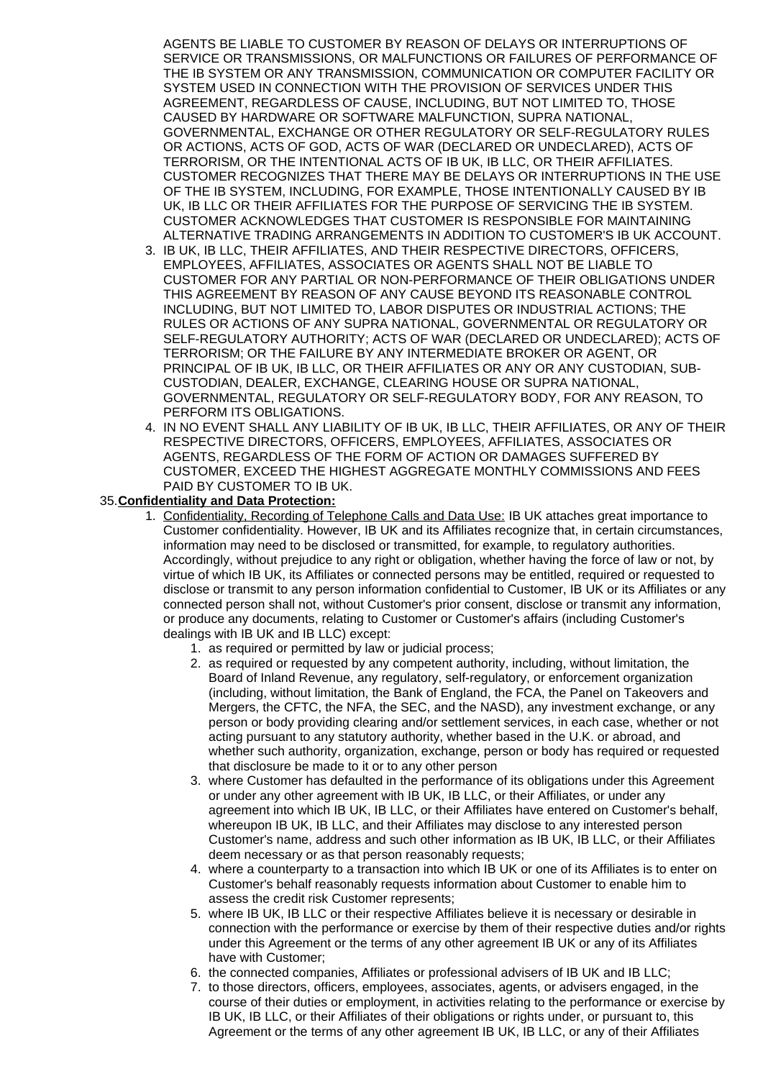AGENTS BE LIABLE TO CUSTOMER BY REASON OF DELAYS OR INTERRUPTIONS OF SERVICE OR TRANSMISSIONS, OR MALFUNCTIONS OR FAILURES OF PERFORMANCE OF THE IB SYSTEM OR ANY TRANSMISSION, COMMUNICATION OR COMPUTER FACILITY OR SYSTEM USED IN CONNECTION WITH THE PROVISION OF SERVICES UNDER THIS AGREEMENT, REGARDLESS OF CAUSE, INCLUDING, BUT NOT LIMITED TO, THOSE CAUSED BY HARDWARE OR SOFTWARE MALFUNCTION, SUPRA NATIONAL, GOVERNMENTAL, EXCHANGE OR OTHER REGULATORY OR SELF-REGULATORY RULES OR ACTIONS, ACTS OF GOD, ACTS OF WAR (DECLARED OR UNDECLARED), ACTS OF TERRORISM, OR THE INTENTIONAL ACTS OF IB UK, IB LLC, OR THEIR AFFILIATES. CUSTOMER RECOGNIZES THAT THERE MAY BE DELAYS OR INTERRUPTIONS IN THE USE OF THE IB SYSTEM, INCLUDING, FOR EXAMPLE, THOSE INTENTIONALLY CAUSED BY IB UK, IB LLC OR THEIR AFFILIATES FOR THE PURPOSE OF SERVICING THE IB SYSTEM. CUSTOMER ACKNOWLEDGES THAT CUSTOMER IS RESPONSIBLE FOR MAINTAINING ALTERNATIVE TRADING ARRANGEMENTS IN ADDITION TO CUSTOMER'S IB UK ACCOUNT.

- 3. IB UK, IB LLC, THEIR AFFILIATES, AND THEIR RESPECTIVE DIRECTORS, OFFICERS, EMPLOYEES, AFFILIATES, ASSOCIATES OR AGENTS SHALL NOT BE LIABLE TO CUSTOMER FOR ANY PARTIAL OR NON-PERFORMANCE OF THEIR OBLIGATIONS UNDER THIS AGREEMENT BY REASON OF ANY CAUSE BEYOND ITS REASONABLE CONTROL INCLUDING, BUT NOT LIMITED TO, LABOR DISPUTES OR INDUSTRIAL ACTIONS; THE RULES OR ACTIONS OF ANY SUPRA NATIONAL, GOVERNMENTAL OR REGULATORY OR SELF-REGULATORY AUTHORITY; ACTS OF WAR (DECLARED OR UNDECLARED); ACTS OF TERRORISM; OR THE FAILURE BY ANY INTERMEDIATE BROKER OR AGENT, OR PRINCIPAL OF IB UK, IB LLC, OR THEIR AFFILIATES OR ANY OR ANY CUSTODIAN, SUB-CUSTODIAN, DEALER, EXCHANGE, CLEARING HOUSE OR SUPRA NATIONAL, GOVERNMENTAL, REGULATORY OR SELF-REGULATORY BODY, FOR ANY REASON, TO PERFORM ITS OBLIGATIONS.
- 4. IN NO EVENT SHALL ANY LIABILITY OF IB UK, IB LLC, THEIR AFFILIATES, OR ANY OF THEIR RESPECTIVE DIRECTORS, OFFICERS, EMPLOYEES, AFFILIATES, ASSOCIATES OR AGENTS, REGARDLESS OF THE FORM OF ACTION OR DAMAGES SUFFERED BY CUSTOMER, EXCEED THE HIGHEST AGGREGATE MONTHLY COMMISSIONS AND FEES PAID BY CUSTOMER TO IB UK.

#### 35. **Confidentiality and Data Protection:**

- 1. Confidentiality, Recording of Telephone Calls and Data Use: IB UK attaches great importance to Customer confidentiality. However, IB UK and its Affiliates recognize that, in certain circumstances, information may need to be disclosed or transmitted, for example, to regulatory authorities. Accordingly, without prejudice to any right or obligation, whether having the force of law or not, by virtue of which IB UK, its Affiliates or connected persons may be entitled, required or requested to disclose or transmit to any person information confidential to Customer, IB UK or its Affiliates or any connected person shall not, without Customer's prior consent, disclose or transmit any information, or produce any documents, relating to Customer or Customer's affairs (including Customer's dealings with IB UK and IB LLC) except:
	- 1. as required or permitted by law or judicial process;
	- 2. as required or requested by any competent authority, including, without limitation, the Board of Inland Revenue, any regulatory, self-regulatory, or enforcement organization (including, without limitation, the Bank of England, the FCA, the Panel on Takeovers and Mergers, the CFTC, the NFA, the SEC, and the NASD), any investment exchange, or any person or body providing clearing and/or settlement services, in each case, whether or not acting pursuant to any statutory authority, whether based in the U.K. or abroad, and whether such authority, organization, exchange, person or body has required or requested that disclosure be made to it or to any other person
	- 3. where Customer has defaulted in the performance of its obligations under this Agreement or under any other agreement with IB UK, IB LLC, or their Affiliates, or under any agreement into which IB UK, IB LLC, or their Affiliates have entered on Customer's behalf, whereupon IB UK, IB LLC, and their Affiliates may disclose to any interested person Customer's name, address and such other information as IB UK, IB LLC, or their Affiliates deem necessary or as that person reasonably requests;
	- 4. where a counterparty to a transaction into which IB UK or one of its Affiliates is to enter on Customer's behalf reasonably requests information about Customer to enable him to assess the credit risk Customer represents;
	- 5. where IB UK, IB LLC or their respective Affiliates believe it is necessary or desirable in connection with the performance or exercise by them of their respective duties and/or rights under this Agreement or the terms of any other agreement IB UK or any of its Affiliates have with Customer;
	- 6. the connected companies, Affiliates or professional advisers of IB UK and IB LLC;
	- 7. to those directors, officers, employees, associates, agents, or advisers engaged, in the course of their duties or employment, in activities relating to the performance or exercise by IB UK, IB LLC, or their Affiliates of their obligations or rights under, or pursuant to, this Agreement or the terms of any other agreement IB UK, IB LLC, or any of their Affiliates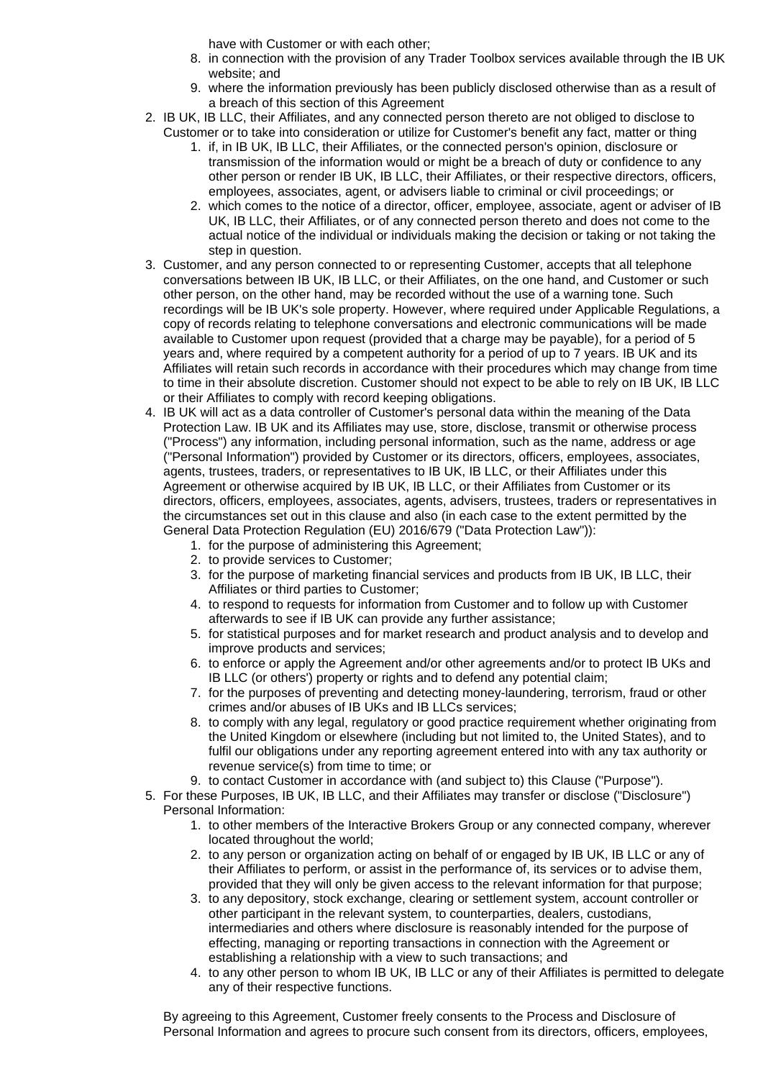have with Customer or with each other;

- 8. in connection with the provision of any Trader Toolbox services available through the IB UK website; and
- 9. where the information previously has been publicly disclosed otherwise than as a result of a breach of this section of this Agreement
- 2. IB UK, IB LLC, their Affiliates, and any connected person thereto are not obliged to disclose to Customer or to take into consideration or utilize for Customer's benefit any fact, matter or thing
	- 1. if, in IB UK, IB LLC, their Affiliates, or the connected person's opinion, disclosure or transmission of the information would or might be a breach of duty or confidence to any other person or render IB UK, IB LLC, their Affiliates, or their respective directors, officers, employees, associates, agent, or advisers liable to criminal or civil proceedings; or
	- 2. which comes to the notice of a director, officer, employee, associate, agent or adviser of IB UK, IB LLC, their Affiliates, or of any connected person thereto and does not come to the actual notice of the individual or individuals making the decision or taking or not taking the step in question.
- 3. Customer, and any person connected to or representing Customer, accepts that all telephone conversations between IB UK, IB LLC, or their Affiliates, on the one hand, and Customer or such other person, on the other hand, may be recorded without the use of a warning tone. Such recordings will be IB UK's sole property. However, where required under Applicable Regulations, a copy of records relating to telephone conversations and electronic communications will be made available to Customer upon request (provided that a charge may be payable), for a period of 5 years and, where required by a competent authority for a period of up to 7 years. IB UK and its Affiliates will retain such records in accordance with their procedures which may change from time to time in their absolute discretion. Customer should not expect to be able to rely on IB UK, IB LLC or their Affiliates to comply with record keeping obligations.
- 4. IB UK will act as a data controller of Customer's personal data within the meaning of the Data Protection Law. IB UK and its Affiliates may use, store, disclose, transmit or otherwise process ("Process") any information, including personal information, such as the name, address or age ("Personal Information") provided by Customer or its directors, officers, employees, associates, agents, trustees, traders, or representatives to IB UK, IB LLC, or their Affiliates under this Agreement or otherwise acquired by IB UK, IB LLC, or their Affiliates from Customer or its directors, officers, employees, associates, agents, advisers, trustees, traders or representatives in the circumstances set out in this clause and also (in each case to the extent permitted by the General Data Protection Regulation (EU) 2016/679 ("Data Protection Law")):
	- 1. for the purpose of administering this Agreement;
	- 2. to provide services to Customer;
	- 3. for the purpose of marketing financial services and products from IB UK, IB LLC, their Affiliates or third parties to Customer;
	- 4. to respond to requests for information from Customer and to follow up with Customer afterwards to see if IB UK can provide any further assistance;
	- 5. for statistical purposes and for market research and product analysis and to develop and improve products and services;
	- 6. to enforce or apply the Agreement and/or other agreements and/or to protect IB UKs and IB LLC (or others') property or rights and to defend any potential claim;
	- 7. for the purposes of preventing and detecting money-laundering, terrorism, fraud or other crimes and/or abuses of IB UKs and IB LLCs services;
	- 8. to comply with any legal, regulatory or good practice requirement whether originating from the United Kingdom or elsewhere (including but not limited to, the United States), and to fulfil our obligations under any reporting agreement entered into with any tax authority or revenue service(s) from time to time; or
	- 9. to contact Customer in accordance with (and subject to) this Clause ("Purpose").
- 5. For these Purposes, IB UK, IB LLC, and their Affiliates may transfer or disclose ("Disclosure") Personal Information:
	- 1. to other members of the Interactive Brokers Group or any connected company, wherever located throughout the world;
	- 2. to any person or organization acting on behalf of or engaged by IB UK, IB LLC or any of their Affiliates to perform, or assist in the performance of, its services or to advise them, provided that they will only be given access to the relevant information for that purpose;
	- 3. to any depository, stock exchange, clearing or settlement system, account controller or other participant in the relevant system, to counterparties, dealers, custodians, intermediaries and others where disclosure is reasonably intended for the purpose of effecting, managing or reporting transactions in connection with the Agreement or establishing a relationship with a view to such transactions; and
	- 4. to any other person to whom IB UK, IB LLC or any of their Affiliates is permitted to delegate any of their respective functions.

By agreeing to this Agreement, Customer freely consents to the Process and Disclosure of Personal Information and agrees to procure such consent from its directors, officers, employees,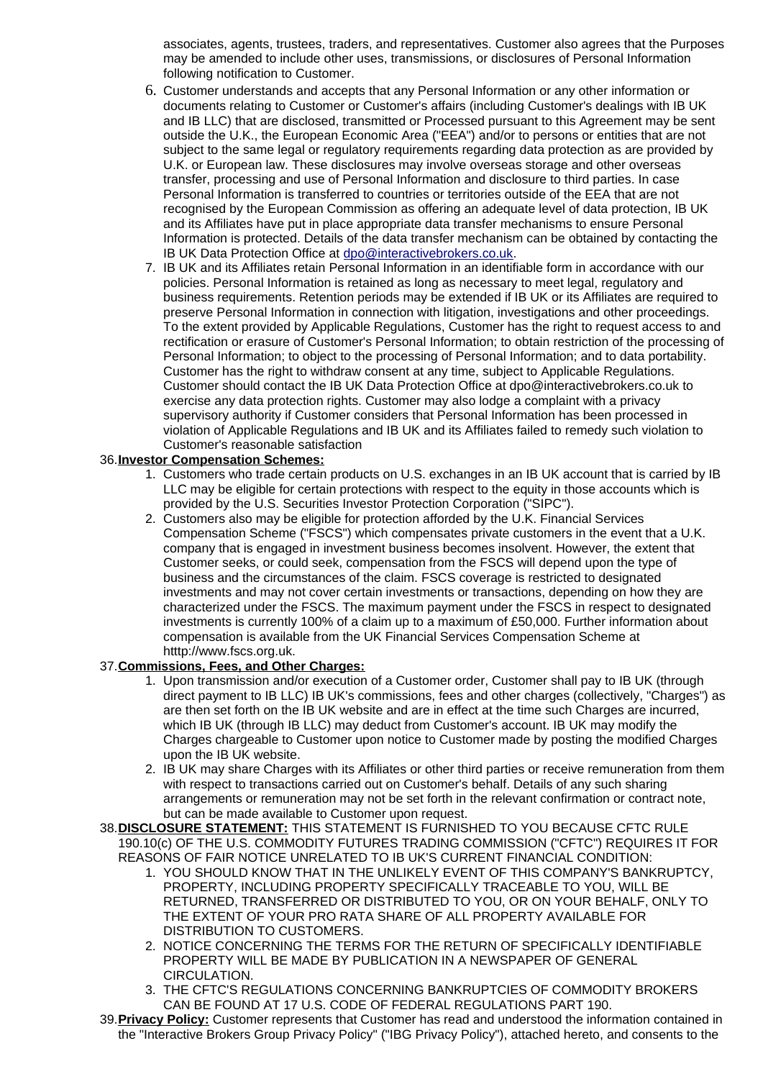associates, agents, trustees, traders, and representatives. Customer also agrees that the Purposes may be amended to include other uses, transmissions, or disclosures of Personal Information following notification to Customer.

- 6. Customer understands and accepts that any Personal Information or any other information or documents relating to Customer or Customer's affairs (including Customer's dealings with IB UK and IB LLC) that are disclosed, transmitted or Processed pursuant to this Agreement may be sent outside the U.K., the European Economic Area ("EEA") and/or to persons or entities that are not subject to the same legal or regulatory requirements regarding data protection as are provided by U.K. or European law. These disclosures may involve overseas storage and other overseas transfer, processing and use of Personal Information and disclosure to third parties. In case Personal Information is transferred to countries or territories outside of the EEA that are not recognised by the European Commission as offering an adequate level of data protection, IB UK and its Affiliates have put in place appropriate data transfer mechanisms to ensure Personal Information is protected. Details of the data transfer mechanism can be obtained by contacting the IB UK Data Protection Office at [dpo@interactivebrokers.co.uk.](mailto:dpo@interactivebrokers.co.uk)
- 7. IB UK and its Affiliates retain Personal Information in an identifiable form in accordance with our policies. Personal Information is retained as long as necessary to meet legal, regulatory and business requirements. Retention periods may be extended if IB UK or its Affiliates are required to preserve Personal Information in connection with litigation, investigations and other proceedings. To the extent provided by Applicable Regulations, Customer has the right to request access to and rectification or erasure of Customer's Personal Information; to obtain restriction of the processing of Personal Information; to object to the processing of Personal Information; and to data portability. Customer has the right to withdraw consent at any time, subject to Applicable Regulations. Customer should contact the IB UK Data Protection Office at dpo@interactivebrokers.co.uk to exercise any data protection rights. Customer may also lodge a complaint with a privacy supervisory authority if Customer considers that Personal Information has been processed in violation of Applicable Regulations and IB UK and its Affiliates failed to remedy such violation to Customer's reasonable satisfaction

#### 36. **Investor Compensation Schemes:**

- 1. Customers who trade certain products on U.S. exchanges in an IB UK account that is carried by IB LLC may be eligible for certain protections with respect to the equity in those accounts which is provided by the U.S. Securities Investor Protection Corporation ("SIPC").
- 2. Customers also may be eligible for protection afforded by the U.K. Financial Services Compensation Scheme ("FSCS") which compensates private customers in the event that a U.K. company that is engaged in investment business becomes insolvent. However, the extent that Customer seeks, or could seek, compensation from the FSCS will depend upon the type of business and the circumstances of the claim. FSCS coverage is restricted to designated investments and may not cover certain investments or transactions, depending on how they are characterized under the FSCS. The maximum payment under the FSCS in respect to designated investments is currently 100% of a claim up to a maximum of £50,000. Further information about compensation is available from the UK Financial Services Compensation Scheme at htttp://www.fscs.org.uk.

# 37. **Commissions, Fees, and Other Charges:**

- 1. Upon transmission and/or execution of a Customer order, Customer shall pay to IB UK (through direct payment to IB LLC) IB UK's commissions, fees and other charges (collectively, "Charges") as are then set forth on the IB UK website and are in effect at the time such Charges are incurred, which IB UK (through IB LLC) may deduct from Customer's account. IB UK may modify the Charges chargeable to Customer upon notice to Customer made by posting the modified Charges upon the IB UK website.
- 2. IB UK may share Charges with its Affiliates or other third parties or receive remuneration from them with respect to transactions carried out on Customer's behalf. Details of any such sharing arrangements or remuneration may not be set forth in the relevant confirmation or contract note, but can be made available to Customer upon request.
- 38. **DISCLOSURE STATEMENT:** THIS STATEMENT IS FURNISHED TO YOU BECAUSE CFTC RULE 190.10(c) OF THE U.S. COMMODITY FUTURES TRADING COMMISSION ("CFTC") REQUIRES IT FOR REASONS OF FAIR NOTICE UNRELATED TO IB UK'S CURRENT FINANCIAL CONDITION:
	- 1. YOU SHOULD KNOW THAT IN THE UNLIKELY EVENT OF THIS COMPANY'S BANKRUPTCY, PROPERTY, INCLUDING PROPERTY SPECIFICALLY TRACEABLE TO YOU, WILL BE RETURNED, TRANSFERRED OR DISTRIBUTED TO YOU, OR ON YOUR BEHALF, ONLY TO THE EXTENT OF YOUR PRO RATA SHARE OF ALL PROPERTY AVAILABLE FOR DISTRIBUTION TO CUSTOMERS.
	- 2. NOTICE CONCERNING THE TERMS FOR THE RETURN OF SPECIFICALLY IDENTIFIABLE PROPERTY WILL BE MADE BY PUBLICATION IN A NEWSPAPER OF GENERAL CIRCULATION.
	- 3. THE CFTC'S REGULATIONS CONCERNING BANKRUPTCIES OF COMMODITY BROKERS CAN BE FOUND AT 17 U.S. CODE OF FEDERAL REGULATIONS PART 190.
- 39. **Privacy Policy:** Customer represents that Customer has read and understood the information contained in the "Interactive Brokers Group Privacy Policy" ("IBG Privacy Policy"), attached hereto, and consents to the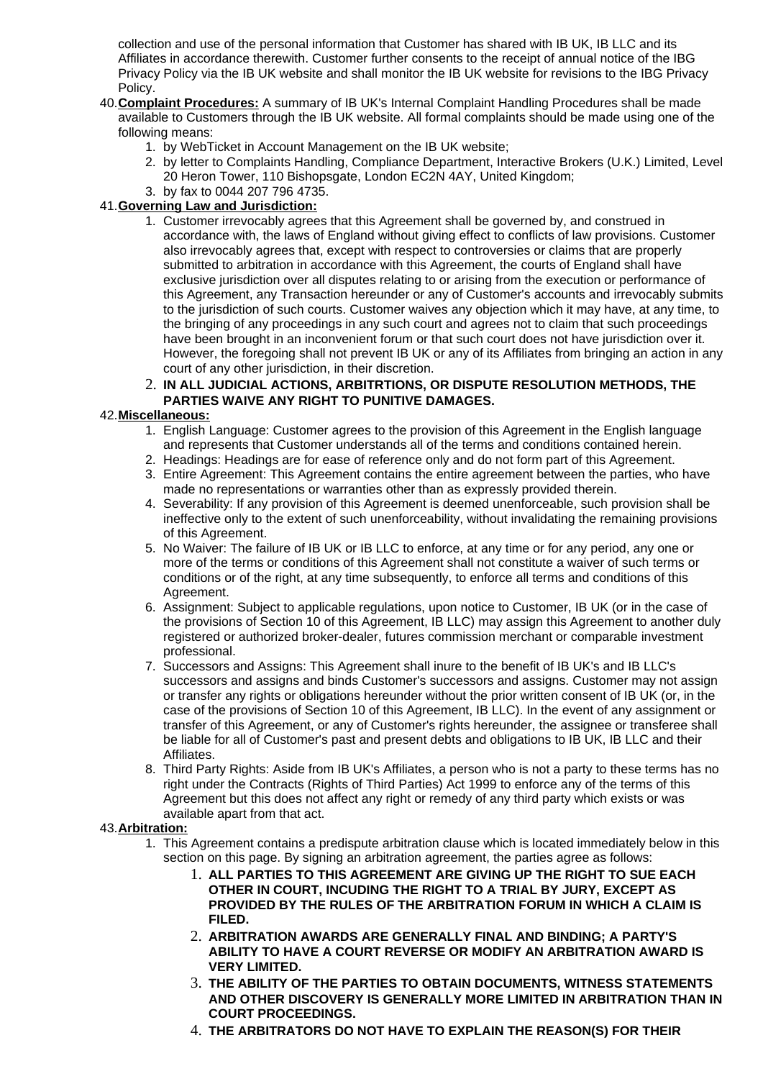collection and use of the personal information that Customer has shared with IB UK, IB LLC and its Affiliates in accordance therewith. Customer further consents to the receipt of annual notice of the IBG Privacy Policy via the IB UK website and shall monitor the IB UK website for revisions to the IBG Privacy Policy.

- 40. **Complaint Procedures:** A summary of IB UK's Internal Complaint Handling Procedures shall be made available to Customers through the IB UK website. All formal complaints should be made using one of the following means:
	- 1. by WebTicket in Account Management on the IB UK website;
	- 2. by letter to Complaints Handling, Compliance Department, Interactive Brokers (U.K.) Limited, Level 20 Heron Tower, 110 Bishopsgate, London EC2N 4AY, United Kingdom;
	- 3. by fax to 0044 207 796 4735.

# 41. **Governing Law and Jurisdiction:**

- 1. Customer irrevocably agrees that this Agreement shall be governed by, and construed in accordance with, the laws of England without giving effect to conflicts of law provisions. Customer also irrevocably agrees that, except with respect to controversies or claims that are properly submitted to arbitration in accordance with this Agreement, the courts of England shall have exclusive jurisdiction over all disputes relating to or arising from the execution or performance of this Agreement, any Transaction hereunder or any of Customer's accounts and irrevocably submits to the jurisdiction of such courts. Customer waives any objection which it may have, at any time, to the bringing of any proceedings in any such court and agrees not to claim that such proceedings have been brought in an inconvenient forum or that such court does not have jurisdiction over it. However, the foregoing shall not prevent IB UK or any of its Affiliates from bringing an action in any court of any other jurisdiction, in their discretion.
- 2. **IN ALL JUDICIAL ACTIONS, ARBITRTIONS, OR DISPUTE RESOLUTION METHODS, THE PARTIES WAIVE ANY RIGHT TO PUNITIVE DAMAGES.**

# 42. **Miscellaneous:**

- 1. English Language: Customer agrees to the provision of this Agreement in the English language and represents that Customer understands all of the terms and conditions contained herein.
- 2. Headings: Headings are for ease of reference only and do not form part of this Agreement.
- 3. Entire Agreement: This Agreement contains the entire agreement between the parties, who have made no representations or warranties other than as expressly provided therein.
- 4. Severability: If any provision of this Agreement is deemed unenforceable, such provision shall be ineffective only to the extent of such unenforceability, without invalidating the remaining provisions of this Agreement.
- 5. No Waiver: The failure of IB UK or IB LLC to enforce, at any time or for any period, any one or more of the terms or conditions of this Agreement shall not constitute a waiver of such terms or conditions or of the right, at any time subsequently, to enforce all terms and conditions of this Agreement.
- 6. Assignment: Subject to applicable regulations, upon notice to Customer, IB UK (or in the case of the provisions of Section 10 of this Agreement, IB LLC) may assign this Agreement to another duly registered or authorized broker-dealer, futures commission merchant or comparable investment professional.
- 7. Successors and Assigns: This Agreement shall inure to the benefit of IB UK's and IB LLC's successors and assigns and binds Customer's successors and assigns. Customer may not assign or transfer any rights or obligations hereunder without the prior written consent of IB UK (or, in the case of the provisions of Section 10 of this Agreement, IB LLC). In the event of any assignment or transfer of this Agreement, or any of Customer's rights hereunder, the assignee or transferee shall be liable for all of Customer's past and present debts and obligations to IB UK, IB LLC and their Affiliates.
- 8. Third Party Rights: Aside from IB UK's Affiliates, a person who is not a party to these terms has no right under the Contracts (Rights of Third Parties) Act 1999 to enforce any of the terms of this Agreement but this does not affect any right or remedy of any third party which exists or was available apart from that act.

# 43. **Arbitration:**

- 1. This Agreement contains a predispute arbitration clause which is located immediately below in this section on this page. By signing an arbitration agreement, the parties agree as follows:
	- 1. **ALL PARTIES TO THIS AGREEMENT ARE GIVING UP THE RIGHT TO SUE EACH OTHER IN COURT, INCUDING THE RIGHT TO A TRIAL BY JURY, EXCEPT AS PROVIDED BY THE RULES OF THE ARBITRATION FORUM IN WHICH A CLAIM IS FILED.**
	- 2. **ARBITRATION AWARDS ARE GENERALLY FINAL AND BINDING; A PARTY'S ABILITY TO HAVE A COURT REVERSE OR MODIFY AN ARBITRATION AWARD IS VERY LIMITED.**
	- 3. **THE ABILITY OF THE PARTIES TO OBTAIN DOCUMENTS, WITNESS STATEMENTS AND OTHER DISCOVERY IS GENERALLY MORE LIMITED IN ARBITRATION THAN IN COURT PROCEEDINGS.**
	- 4. **THE ARBITRATORS DO NOT HAVE TO EXPLAIN THE REASON(S) FOR THEIR**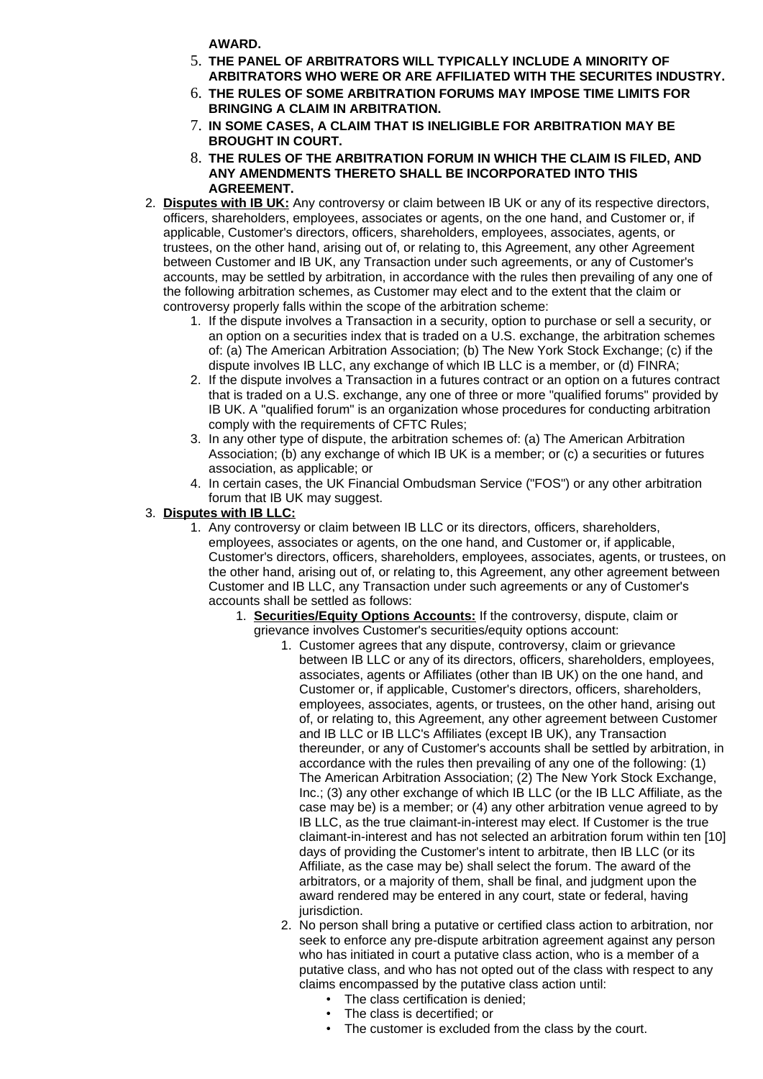**AWARD.**

- 5. **THE PANEL OF ARBITRATORS WILL TYPICALLY INCLUDE A MINORITY OF ARBITRATORS WHO WERE OR ARE AFFILIATED WITH THE SECURITES INDUSTRY.**
- 6. **THE RULES OF SOME ARBITRATION FORUMS MAY IMPOSE TIME LIMITS FOR BRINGING A CLAIM IN ARBITRATION.**
- 7. **IN SOME CASES, A CLAIM THAT IS INELIGIBLE FOR ARBITRATION MAY BE BROUGHT IN COURT.**
- 8. **THE RULES OF THE ARBITRATION FORUM IN WHICH THE CLAIM IS FILED, AND ANY AMENDMENTS THERETO SHALL BE INCORPORATED INTO THIS AGREEMENT.**
- 2. **Disputes with IB UK:** Any controversy or claim between IB UK or any of its respective directors, officers, shareholders, employees, associates or agents, on the one hand, and Customer or, if applicable, Customer's directors, officers, shareholders, employees, associates, agents, or trustees, on the other hand, arising out of, or relating to, this Agreement, any other Agreement between Customer and IB UK, any Transaction under such agreements, or any of Customer's accounts, may be settled by arbitration, in accordance with the rules then prevailing of any one of the following arbitration schemes, as Customer may elect and to the extent that the claim or controversy properly falls within the scope of the arbitration scheme:
	- 1. If the dispute involves a Transaction in a security, option to purchase or sell a security, or an option on a securities index that is traded on a U.S. exchange, the arbitration schemes of: (a) The American Arbitration Association; (b) The New York Stock Exchange; (c) if the dispute involves IB LLC, any exchange of which IB LLC is a member, or (d) FINRA;
	- 2. If the dispute involves a Transaction in a futures contract or an option on a futures contract that is traded on a U.S. exchange, any one of three or more "qualified forums" provided by IB UK. A "qualified forum" is an organization whose procedures for conducting arbitration comply with the requirements of CFTC Rules;
	- 3. In any other type of dispute, the arbitration schemes of: (a) The American Arbitration Association; (b) any exchange of which IB UK is a member; or (c) a securities or futures association, as applicable; or
	- 4. In certain cases, the UK Financial Ombudsman Service ("FOS") or any other arbitration forum that IB UK may suggest.

# 3. **Disputes with IB LLC:**

- 1. Any controversy or claim between IB LLC or its directors, officers, shareholders, employees, associates or agents, on the one hand, and Customer or, if applicable, Customer's directors, officers, shareholders, employees, associates, agents, or trustees, on the other hand, arising out of, or relating to, this Agreement, any other agreement between Customer and IB LLC, any Transaction under such agreements or any of Customer's accounts shall be settled as follows:
	- 1. **Securities/Equity Options Accounts:** If the controversy, dispute, claim or grievance involves Customer's securities/equity options account:
		- 1. Customer agrees that any dispute, controversy, claim or grievance between IB LLC or any of its directors, officers, shareholders, employees, associates, agents or Affiliates (other than IB UK) on the one hand, and Customer or, if applicable, Customer's directors, officers, shareholders, employees, associates, agents, or trustees, on the other hand, arising out of, or relating to, this Agreement, any other agreement between Customer and IB LLC or IB LLC's Affiliates (except IB UK), any Transaction thereunder, or any of Customer's accounts shall be settled by arbitration, in accordance with the rules then prevailing of any one of the following: (1) The American Arbitration Association; (2) The New York Stock Exchange, Inc.; (3) any other exchange of which IB LLC (or the IB LLC Affiliate, as the case may be) is a member; or (4) any other arbitration venue agreed to by IB LLC, as the true claimant-in-interest may elect. If Customer is the true claimant-in-interest and has not selected an arbitration forum within ten [10] days of providing the Customer's intent to arbitrate, then IB LLC (or its Affiliate, as the case may be) shall select the forum. The award of the arbitrators, or a majority of them, shall be final, and judgment upon the award rendered may be entered in any court, state or federal, having jurisdiction.
		- 2. No person shall bring a putative or certified class action to arbitration, nor seek to enforce any pre-dispute arbitration agreement against any person who has initiated in court a putative class action, who is a member of a putative class, and who has not opted out of the class with respect to any claims encompassed by the putative class action until:
			- The class certification is denied;
			- The class is decertified; or
			- The customer is excluded from the class by the court.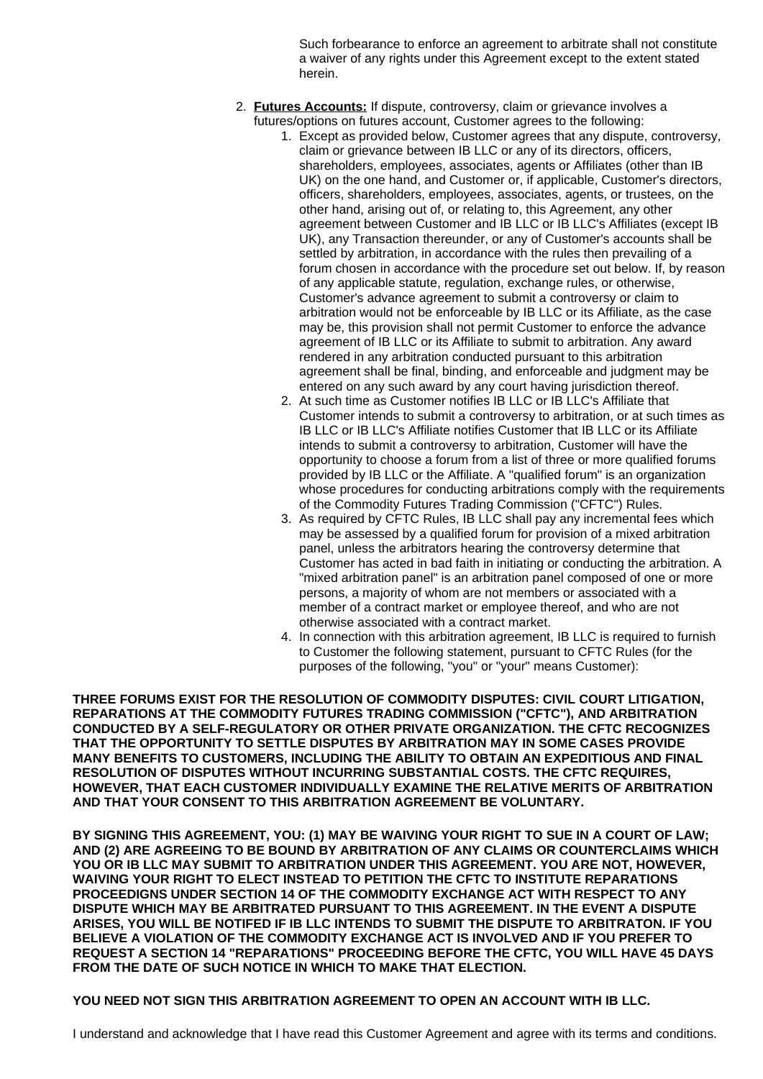Such forbearance to enforce an agreement to arbitrate shall not constitute a waiver of any rights under this Agreement except to the extent stated herein.

- 2. **Futures Accounts:** If dispute, controversy, claim or grievance involves a futures/options on futures account, Customer agrees to the following:
	- 1. Except as provided below, Customer agrees that any dispute, controversy, claim or grievance between IB LLC or any of its directors, officers, shareholders, employees, associates, agents or Affiliates (other than IB UK) on the one hand, and Customer or, if applicable, Customer's directors, officers, shareholders, employees, associates, agents, or trustees, on the other hand, arising out of, or relating to, this Agreement, any other agreement between Customer and IB LLC or IB LLC's Affiliates (except IB UK), any Transaction thereunder, or any of Customer's accounts shall be settled by arbitration, in accordance with the rules then prevailing of a forum chosen in accordance with the procedure set out below. If, by reason of any applicable statute, regulation, exchange rules, or otherwise, Customer's advance agreement to submit a controversy or claim to arbitration would not be enforceable by IB LLC or its Affiliate, as the case may be, this provision shall not permit Customer to enforce the advance agreement of IB LLC or its Affiliate to submit to arbitration. Any award rendered in any arbitration conducted pursuant to this arbitration agreement shall be final, binding, and enforceable and judgment may be entered on any such award by any court having jurisdiction thereof.
		- 2. At such time as Customer notifies IB LLC or IB LLC's Affiliate that Customer intends to submit a controversy to arbitration, or at such times as IB LLC or IB LLC's Affiliate notifies Customer that IB LLC or its Affiliate intends to submit a controversy to arbitration, Customer will have the opportunity to choose a forum from a list of three or more qualified forums provided by IB LLC or the Affiliate. A "qualified forum" is an organization whose procedures for conducting arbitrations comply with the requirements of the Commodity Futures Trading Commission ("CFTC") Rules.
	- 3. As required by CFTC Rules, IB LLC shall pay any incremental fees which may be assessed by a qualified forum for provision of a mixed arbitration panel, unless the arbitrators hearing the controversy determine that Customer has acted in bad faith in initiating or conducting the arbitration. A "mixed arbitration panel" is an arbitration panel composed of one or more persons, a majority of whom are not members or associated with a member of a contract market or employee thereof, and who are not otherwise associated with a contract market.
	- 4. In connection with this arbitration agreement, IB LLC is required to furnish to Customer the following statement, pursuant to CFTC Rules (for the purposes of the following, "you" or "your" means Customer):

**THREE FORUMS EXIST FOR THE RESOLUTION OF COMMODITY DISPUTES: CIVIL COURT LITIGATION, REPARATIONS AT THE COMMODITY FUTURES TRADING COMMISSION ("CFTC"), AND ARBITRATION CONDUCTED BY A SELF-REGULATORY OR OTHER PRIVATE ORGANIZATION. THE CFTC RECOGNIZES THAT THE OPPORTUNITY TO SETTLE DISPUTES BY ARBITRATION MAY IN SOME CASES PROVIDE MANY BENEFITS TO CUSTOMERS, INCLUDING THE ABILITY TO OBTAIN AN EXPEDITIOUS AND FINAL RESOLUTION OF DISPUTES WITHOUT INCURRING SUBSTANTIAL COSTS. THE CFTC REQUIRES, HOWEVER, THAT EACH CUSTOMER INDIVIDUALLY EXAMINE THE RELATIVE MERITS OF ARBITRATION AND THAT YOUR CONSENT TO THIS ARBITRATION AGREEMENT BE VOLUNTARY.**

**BY SIGNING THIS AGREEMENT, YOU: (1) MAY BE WAIVING YOUR RIGHT TO SUE IN A COURT OF LAW; AND (2) ARE AGREEING TO BE BOUND BY ARBITRATION OF ANY CLAIMS OR COUNTERCLAIMS WHICH YOU OR IB LLC MAY SUBMIT TO ARBITRATION UNDER THIS AGREEMENT. YOU ARE NOT, HOWEVER, WAIVING YOUR RIGHT TO ELECT INSTEAD TO PETITION THE CFTC TO INSTITUTE REPARATIONS PROCEEDIGNS UNDER SECTION 14 OF THE COMMODITY EXCHANGE ACT WITH RESPECT TO ANY DISPUTE WHICH MAY BE ARBITRATED PURSUANT TO THIS AGREEMENT. IN THE EVENT A DISPUTE ARISES, YOU WILL BE NOTIFED IF IB LLC INTENDS TO SUBMIT THE DISPUTE TO ARBITRATON. IF YOU BELIEVE A VIOLATION OF THE COMMODITY EXCHANGE ACT IS INVOLVED AND IF YOU PREFER TO REQUEST A SECTION 14 "REPARATIONS" PROCEEDING BEFORE THE CFTC, YOU WILL HAVE 45 DAYS FROM THE DATE OF SUCH NOTICE IN WHICH TO MAKE THAT ELECTION.**

**YOU NEED NOT SIGN THIS ARBITRATION AGREEMENT TO OPEN AN ACCOUNT WITH IB LLC.**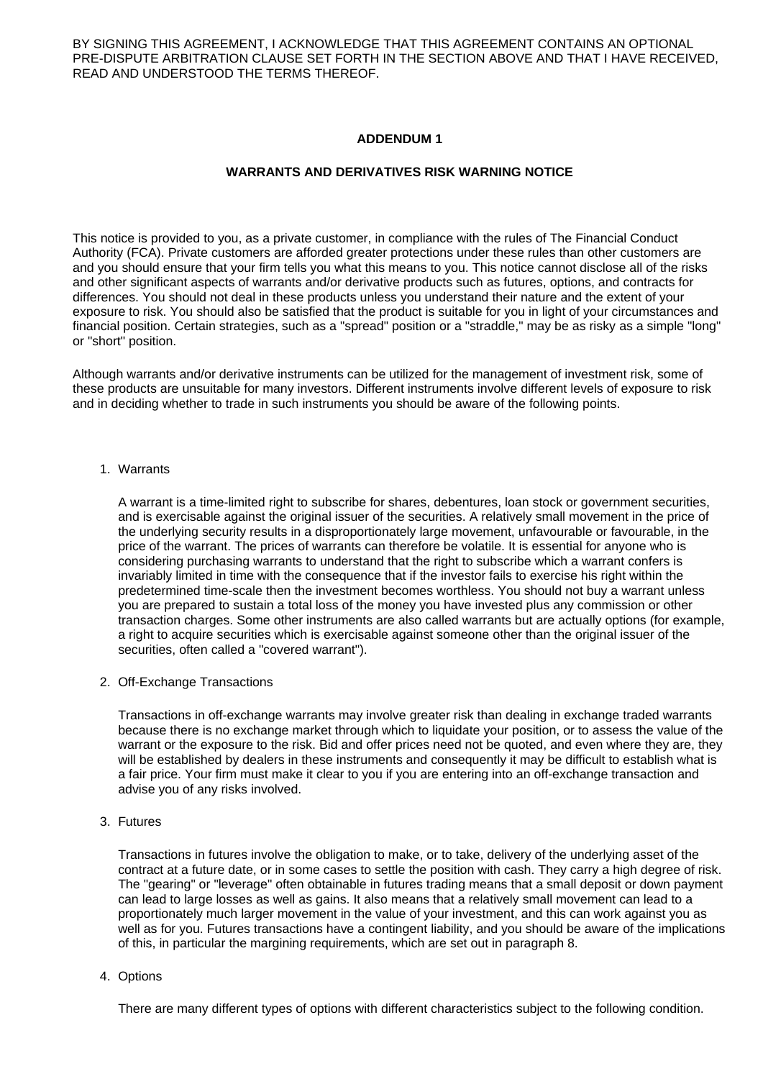BY SIGNING THIS AGREEMENT, I ACKNOWLEDGE THAT THIS AGREEMENT CONTAINS AN OPTIONAL PRE-DISPUTE ARBITRATION CLAUSE SET FORTH IN THE SECTION ABOVE AND THAT I HAVE RECEIVED, READ AND UNDERSTOOD THE TERMS THEREOF.

#### **ADDENDUM 1**

#### **WARRANTS AND DERIVATIVES RISK WARNING NOTICE**

This notice is provided to you, as a private customer, in compliance with the rules of The Financial Conduct Authority (FCA). Private customers are afforded greater protections under these rules than other customers are and you should ensure that your firm tells you what this means to you. This notice cannot disclose all of the risks and other significant aspects of warrants and/or derivative products such as futures, options, and contracts for differences. You should not deal in these products unless you understand their nature and the extent of your exposure to risk. You should also be satisfied that the product is suitable for you in light of your circumstances and financial position. Certain strategies, such as a "spread" position or a "straddle," may be as risky as a simple "long" or "short" position.

Although warrants and/or derivative instruments can be utilized for the management of investment risk, some of these products are unsuitable for many investors. Different instruments involve different levels of exposure to risk and in deciding whether to trade in such instruments you should be aware of the following points.

#### 1. Warrants

A warrant is a time-limited right to subscribe for shares, debentures, loan stock or government securities, and is exercisable against the original issuer of the securities. A relatively small movement in the price of the underlying security results in a disproportionately large movement, unfavourable or favourable, in the price of the warrant. The prices of warrants can therefore be volatile. It is essential for anyone who is considering purchasing warrants to understand that the right to subscribe which a warrant confers is invariably limited in time with the consequence that if the investor fails to exercise his right within the predetermined time-scale then the investment becomes worthless. You should not buy a warrant unless you are prepared to sustain a total loss of the money you have invested plus any commission or other transaction charges. Some other instruments are also called warrants but are actually options (for example, a right to acquire securities which is exercisable against someone other than the original issuer of the securities, often called a "covered warrant").

2. Off-Exchange Transactions

Transactions in off-exchange warrants may involve greater risk than dealing in exchange traded warrants because there is no exchange market through which to liquidate your position, or to assess the value of the warrant or the exposure to the risk. Bid and offer prices need not be quoted, and even where they are, they will be established by dealers in these instruments and consequently it may be difficult to establish what is a fair price. Your firm must make it clear to you if you are entering into an off-exchange transaction and advise you of any risks involved.

3. Futures

Transactions in futures involve the obligation to make, or to take, delivery of the underlying asset of the contract at a future date, or in some cases to settle the position with cash. They carry a high degree of risk. The "gearing" or "leverage" often obtainable in futures trading means that a small deposit or down payment can lead to large losses as well as gains. It also means that a relatively small movement can lead to a proportionately much larger movement in the value of your investment, and this can work against you as well as for you. Futures transactions have a contingent liability, and you should be aware of the implications of this, in particular the margining requirements, which are set out in paragraph 8.

4. Options

There are many different types of options with different characteristics subject to the following condition.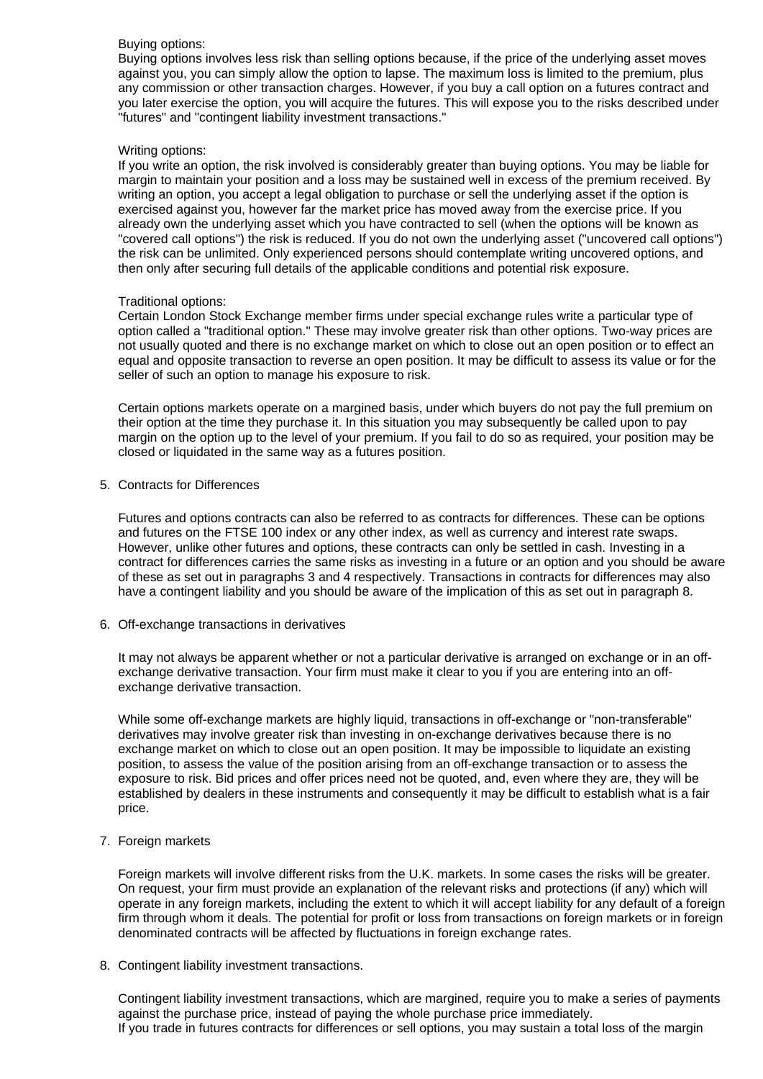#### Buying options:

Buying options involves less risk than selling options because, if the price of the underlying asset moves against you, you can simply allow the option to lapse. The maximum loss is limited to the premium, plus any commission or other transaction charges. However, if you buy a call option on a futures contract and you later exercise the option, you will acquire the futures. This will expose you to the risks described under "futures" and "contingent liability investment transactions."

#### Writing options:

If you write an option, the risk involved is considerably greater than buying options. You may be liable for margin to maintain your position and a loss may be sustained well in excess of the premium received. By writing an option, you accept a legal obligation to purchase or sell the underlying asset if the option is exercised against you, however far the market price has moved away from the exercise price. If you already own the underlying asset which you have contracted to sell (when the options will be known as "covered call options") the risk is reduced. If you do not own the underlying asset ("uncovered call options") the risk can be unlimited. Only experienced persons should contemplate writing uncovered options, and then only after securing full details of the applicable conditions and potential risk exposure.

#### Traditional options:

Certain London Stock Exchange member firms under special exchange rules write a particular type of option called a "traditional option." These may involve greater risk than other options. Two-way prices are not usually quoted and there is no exchange market on which to close out an open position or to effect an equal and opposite transaction to reverse an open position. It may be difficult to assess its value or for the seller of such an option to manage his exposure to risk.

Certain options markets operate on a margined basis, under which buyers do not pay the full premium on their option at the time they purchase it. In this situation you may subsequently be called upon to pay margin on the option up to the level of your premium. If you fail to do so as required, your position may be closed or liquidated in the same way as a futures position.

5. Contracts for Differences

Futures and options contracts can also be referred to as contracts for differences. These can be options and futures on the FTSE 100 index or any other index, as well as currency and interest rate swaps. However, unlike other futures and options, these contracts can only be settled in cash. Investing in a contract for differences carries the same risks as investing in a future or an option and you should be aware of these as set out in paragraphs 3 and 4 respectively. Transactions in contracts for differences may also have a contingent liability and you should be aware of the implication of this as set out in paragraph 8.

6. Off-exchange transactions in derivatives

It may not always be apparent whether or not a particular derivative is arranged on exchange or in an offexchange derivative transaction. Your firm must make it clear to you if you are entering into an offexchange derivative transaction.

While some off-exchange markets are highly liquid, transactions in off-exchange or "non-transferable" derivatives may involve greater risk than investing in on-exchange derivatives because there is no exchange market on which to close out an open position. It may be impossible to liquidate an existing position, to assess the value of the position arising from an off-exchange transaction or to assess the exposure to risk. Bid prices and offer prices need not be quoted, and, even where they are, they will be established by dealers in these instruments and consequently it may be difficult to establish what is a fair price.

# 7. Foreign markets

Foreign markets will involve different risks from the U.K. markets. In some cases the risks will be greater. On request, your firm must provide an explanation of the relevant risks and protections (if any) which will operate in any foreign markets, including the extent to which it will accept liability for any default of a foreign firm through whom it deals. The potential for profit or loss from transactions on foreign markets or in foreign denominated contracts will be affected by fluctuations in foreign exchange rates.

8. Contingent liability investment transactions.

Contingent liability investment transactions, which are margined, require you to make a series of payments against the purchase price, instead of paying the whole purchase price immediately. If you trade in futures contracts for differences or sell options, you may sustain a total loss of the margin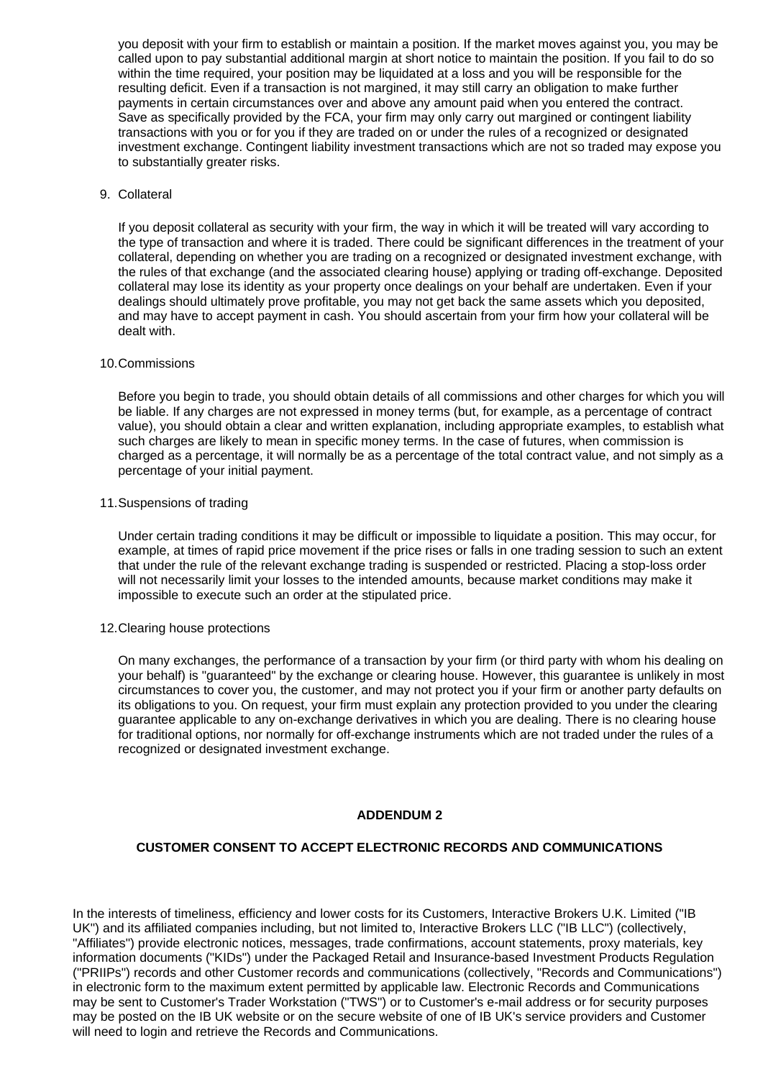you deposit with your firm to establish or maintain a position. If the market moves against you, you may be called upon to pay substantial additional margin at short notice to maintain the position. If you fail to do so within the time required, your position may be liquidated at a loss and you will be responsible for the resulting deficit. Even if a transaction is not margined, it may still carry an obligation to make further payments in certain circumstances over and above any amount paid when you entered the contract. Save as specifically provided by the FCA, your firm may only carry out margined or contingent liability transactions with you or for you if they are traded on or under the rules of a recognized or designated investment exchange. Contingent liability investment transactions which are not so traded may expose you to substantially greater risks.

#### 9. Collateral

If you deposit collateral as security with your firm, the way in which it will be treated will vary according to the type of transaction and where it is traded. There could be significant differences in the treatment of your collateral, depending on whether you are trading on a recognized or designated investment exchange, with the rules of that exchange (and the associated clearing house) applying or trading off-exchange. Deposited collateral may lose its identity as your property once dealings on your behalf are undertaken. Even if your dealings should ultimately prove profitable, you may not get back the same assets which you deposited, and may have to accept payment in cash. You should ascertain from your firm how your collateral will be dealt with.

#### 10.Commissions

Before you begin to trade, you should obtain details of all commissions and other charges for which you will be liable. If any charges are not expressed in money terms (but, for example, as a percentage of contract value), you should obtain a clear and written explanation, including appropriate examples, to establish what such charges are likely to mean in specific money terms. In the case of futures, when commission is charged as a percentage, it will normally be as a percentage of the total contract value, and not simply as a percentage of your initial payment.

#### 11.Suspensions of trading

Under certain trading conditions it may be difficult or impossible to liquidate a position. This may occur, for example, at times of rapid price movement if the price rises or falls in one trading session to such an extent that under the rule of the relevant exchange trading is suspended or restricted. Placing a stop-loss order will not necessarily limit your losses to the intended amounts, because market conditions may make it impossible to execute such an order at the stipulated price.

#### 12.Clearing house protections

On many exchanges, the performance of a transaction by your firm (or third party with whom his dealing on your behalf) is "guaranteed" by the exchange or clearing house. However, this guarantee is unlikely in most circumstances to cover you, the customer, and may not protect you if your firm or another party defaults on its obligations to you. On request, your firm must explain any protection provided to you under the clearing guarantee applicable to any on-exchange derivatives in which you are dealing. There is no clearing house for traditional options, nor normally for off-exchange instruments which are not traded under the rules of a recognized or designated investment exchange.

#### **ADDENDUM 2**

# **CUSTOMER CONSENT TO ACCEPT ELECTRONIC RECORDS AND COMMUNICATIONS**

In the interests of timeliness, efficiency and lower costs for its Customers, Interactive Brokers U.K. Limited ("IB UK") and its affiliated companies including, but not limited to, Interactive Brokers LLC ("IB LLC") (collectively, "Affiliates") provide electronic notices, messages, trade confirmations, account statements, proxy materials, key information documents ("KIDs") under the Packaged Retail and Insurance-based Investment Products Regulation ("PRIIPs") records and other Customer records and communications (collectively, "Records and Communications") in electronic form to the maximum extent permitted by applicable law. Electronic Records and Communications may be sent to Customer's Trader Workstation ("TWS") or to Customer's e-mail address or for security purposes may be posted on the IB UK website or on the secure website of one of IB UK's service providers and Customer will need to login and retrieve the Records and Communications.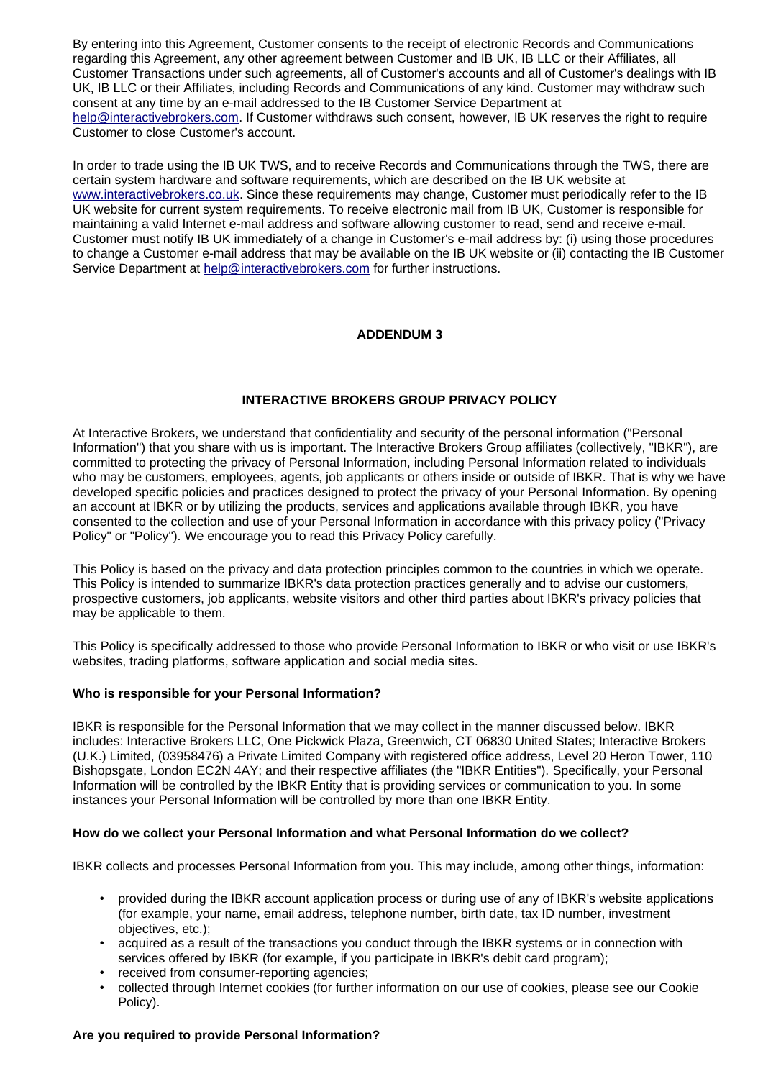By entering into this Agreement, Customer consents to the receipt of electronic Records and Communications regarding this Agreement, any other agreement between Customer and IB UK, IB LLC or their Affiliates, all Customer Transactions under such agreements, all of Customer's accounts and all of Customer's dealings with IB UK, IB LLC or their Affiliates, including Records and Communications of any kind. Customer may withdraw such consent at any time by an e-mail addressed to the IB Customer Service Department at [help@interactivebrokers.com.](mailto:help@interactivebrokers.com) If Customer withdraws such consent, however, IB UK reserves the right to require Customer to close Customer's account.

In order to trade using the IB UK TWS, and to receive Records and Communications through the TWS, there are certain system hardware and software requirements, which are described on the IB UK website at [www.interactivebrokers.co.uk.](http://www.interactivebrokers.co.uk/) Since these requirements may change, Customer must periodically refer to the IB UK website for current system requirements. To receive electronic mail from IB UK, Customer is responsible for maintaining a valid Internet e-mail address and software allowing customer to read, send and receive e-mail. Customer must notify IB UK immediately of a change in Customer's e-mail address by: (i) using those procedures to change a Customer e-mail address that may be available on the IB UK website or (ii) contacting the IB Customer Service Department at [help@interactivebrokers.com](mailto:help@interactivebrokers.com) for further instructions.

# **ADDENDUM 3**

# **INTERACTIVE BROKERS GROUP PRIVACY POLICY**

At Interactive Brokers, we understand that confidentiality and security of the personal information ("Personal Information") that you share with us is important. The Interactive Brokers Group affiliates (collectively, "IBKR"), are committed to protecting the privacy of Personal Information, including Personal Information related to individuals who may be customers, employees, agents, job applicants or others inside or outside of IBKR. That is why we have developed specific policies and practices designed to protect the privacy of your Personal Information. By opening an account at IBKR or by utilizing the products, services and applications available through IBKR, you have consented to the collection and use of your Personal Information in accordance with this privacy policy ("Privacy Policy" or "Policy"). We encourage you to read this Privacy Policy carefully.

This Policy is based on the privacy and data protection principles common to the countries in which we operate. This Policy is intended to summarize IBKR's data protection practices generally and to advise our customers, prospective customers, job applicants, website visitors and other third parties about IBKR's privacy policies that may be applicable to them.

This Policy is specifically addressed to those who provide Personal Information to IBKR or who visit or use IBKR's websites, trading platforms, software application and social media sites.

# **Who is responsible for your Personal Information?**

IBKR is responsible for the Personal Information that we may collect in the manner discussed below. IBKR includes: Interactive Brokers LLC, One Pickwick Plaza, Greenwich, CT 06830 United States; Interactive Brokers (U.K.) Limited, (03958476) a Private Limited Company with registered office address, Level 20 Heron Tower, 110 Bishopsgate, London EC2N 4AY; and their respective affiliates (the "IBKR Entities"). Specifically, your Personal Information will be controlled by the IBKR Entity that is providing services or communication to you. In some instances your Personal Information will be controlled by more than one IBKR Entity.

#### **How do we collect your Personal Information and what Personal Information do we collect?**

IBKR collects and processes Personal Information from you. This may include, among other things, information:

- provided during the IBKR account application process or during use of any of IBKR's website applications (for example, your name, email address, telephone number, birth date, tax ID number, investment objectives, etc.);
- acquired as a result of the transactions you conduct through the IBKR systems or in connection with services offered by IBKR (for example, if you participate in IBKR's debit card program);
- received from consumer-reporting agencies;
- collected through Internet cookies (for further information on our use of cookies, please see our Cookie Policy).

#### **Are you required to provide Personal Information?**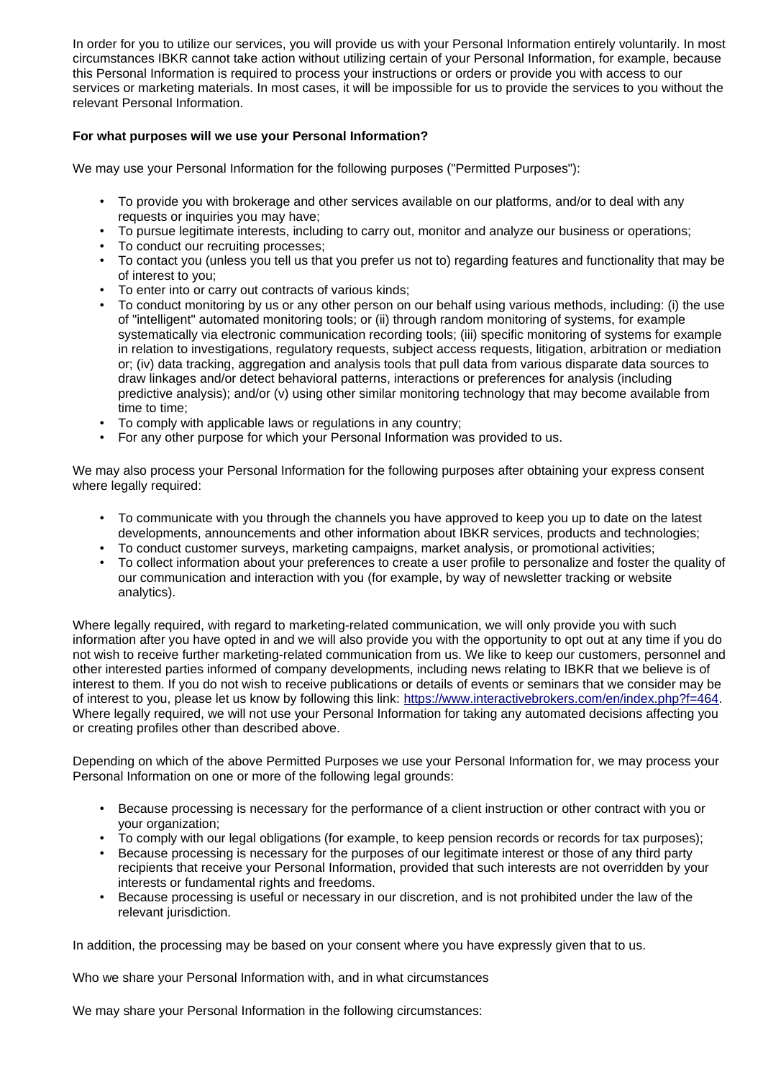In order for you to utilize our services, you will provide us with your Personal Information entirely voluntarily. In most circumstances IBKR cannot take action without utilizing certain of your Personal Information, for example, because this Personal Information is required to process your instructions or orders or provide you with access to our services or marketing materials. In most cases, it will be impossible for us to provide the services to you without the relevant Personal Information.

# **For what purposes will we use your Personal Information?**

We may use your Personal Information for the following purposes ("Permitted Purposes"):

- To provide you with brokerage and other services available on our platforms, and/or to deal with any requests or inquiries you may have;
- To pursue legitimate interests, including to carry out, monitor and analyze our business or operations;
- To conduct our recruiting processes;
- To contact you (unless you tell us that you prefer us not to) regarding features and functionality that may be of interest to you;
- To enter into or carry out contracts of various kinds;
- To conduct monitoring by us or any other person on our behalf using various methods, including: (i) the use of "intelligent" automated monitoring tools; or (ii) through random monitoring of systems, for example systematically via electronic communication recording tools; (iii) specific monitoring of systems for example in relation to investigations, regulatory requests, subject access requests, litigation, arbitration or mediation or; (iv) data tracking, aggregation and analysis tools that pull data from various disparate data sources to draw linkages and/or detect behavioral patterns, interactions or preferences for analysis (including predictive analysis); and/or (v) using other similar monitoring technology that may become available from time to time;
- To comply with applicable laws or regulations in any country;
- For any other purpose for which your Personal Information was provided to us.

We may also process your Personal Information for the following purposes after obtaining your express consent where legally required:

- To communicate with you through the channels you have approved to keep you up to date on the latest developments, announcements and other information about IBKR services, products and technologies;
- To conduct customer surveys, marketing campaigns, market analysis, or promotional activities;
- To collect information about your preferences to create a user profile to personalize and foster the quality of our communication and interaction with you (for example, by way of newsletter tracking or website analytics).

Where legally required, with regard to marketing-related communication, we will only provide you with such information after you have opted in and we will also provide you with the opportunity to opt out at any time if you do not wish to receive further marketing-related communication from us. We like to keep our customers, personnel and other interested parties informed of company developments, including news relating to IBKR that we believe is of interest to them. If you do not wish to receive publications or details of events or seminars that we consider may be of interest to you, please let us know by following this link: [https://www.interactivebrokers.com/en/index.php?f=464.](https://www.interactivebrokers.com/en/index.php?f=464) Where legally required, we will not use your Personal Information for taking any automated decisions affecting you or creating profiles other than described above.

Depending on which of the above Permitted Purposes we use your Personal Information for, we may process your Personal Information on one or more of the following legal grounds:

- Because processing is necessary for the performance of a client instruction or other contract with you or your organization;
- To comply with our legal obligations (for example, to keep pension records or records for tax purposes);
- Because processing is necessary for the purposes of our legitimate interest or those of any third party recipients that receive your Personal Information, provided that such interests are not overridden by your interests or fundamental rights and freedoms.
- Because processing is useful or necessary in our discretion, and is not prohibited under the law of the relevant jurisdiction.

In addition, the processing may be based on your consent where you have expressly given that to us.

Who we share your Personal Information with, and in what circumstances

We may share your Personal Information in the following circumstances: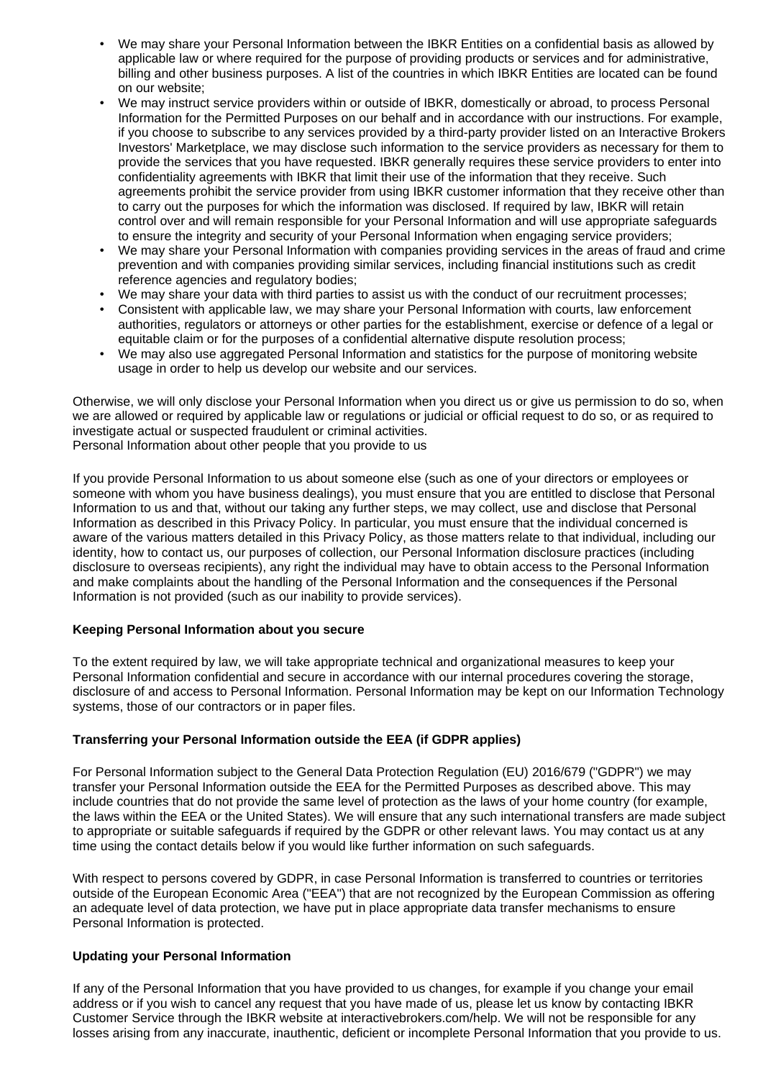- We may share your Personal Information between the IBKR Entities on a confidential basis as allowed by applicable law or where required for the purpose of providing products or services and for administrative, billing and other business purposes. A list of the countries in which IBKR Entities are located can be found on our website;
- We may instruct service providers within or outside of IBKR, domestically or abroad, to process Personal Information for the Permitted Purposes on our behalf and in accordance with our instructions. For example, if you choose to subscribe to any services provided by a third-party provider listed on an Interactive Brokers Investors' Marketplace, we may disclose such information to the service providers as necessary for them to provide the services that you have requested. IBKR generally requires these service providers to enter into confidentiality agreements with IBKR that limit their use of the information that they receive. Such agreements prohibit the service provider from using IBKR customer information that they receive other than to carry out the purposes for which the information was disclosed. If required by law, IBKR will retain control over and will remain responsible for your Personal Information and will use appropriate safeguards to ensure the integrity and security of your Personal Information when engaging service providers;
- We may share your Personal Information with companies providing services in the areas of fraud and crime prevention and with companies providing similar services, including financial institutions such as credit reference agencies and regulatory bodies;
- We may share your data with third parties to assist us with the conduct of our recruitment processes;
- Consistent with applicable law, we may share your Personal Information with courts, law enforcement authorities, regulators or attorneys or other parties for the establishment, exercise or defence of a legal or equitable claim or for the purposes of a confidential alternative dispute resolution process;
- We may also use aggregated Personal Information and statistics for the purpose of monitoring website usage in order to help us develop our website and our services.

Otherwise, we will only disclose your Personal Information when you direct us or give us permission to do so, when we are allowed or required by applicable law or regulations or judicial or official request to do so, or as required to investigate actual or suspected fraudulent or criminal activities. Personal Information about other people that you provide to us

If you provide Personal Information to us about someone else (such as one of your directors or employees or someone with whom you have business dealings), you must ensure that you are entitled to disclose that Personal Information to us and that, without our taking any further steps, we may collect, use and disclose that Personal Information as described in this Privacy Policy. In particular, you must ensure that the individual concerned is aware of the various matters detailed in this Privacy Policy, as those matters relate to that individual, including our identity, how to contact us, our purposes of collection, our Personal Information disclosure practices (including disclosure to overseas recipients), any right the individual may have to obtain access to the Personal Information and make complaints about the handling of the Personal Information and the consequences if the Personal Information is not provided (such as our inability to provide services).

# **Keeping Personal Information about you secure**

To the extent required by law, we will take appropriate technical and organizational measures to keep your Personal Information confidential and secure in accordance with our internal procedures covering the storage, disclosure of and access to Personal Information. Personal Information may be kept on our Information Technology systems, those of our contractors or in paper files.

# **Transferring your Personal Information outside the EEA (if GDPR applies)**

For Personal Information subject to the General Data Protection Regulation (EU) 2016/679 ("GDPR") we may transfer your Personal Information outside the EEA for the Permitted Purposes as described above. This may include countries that do not provide the same level of protection as the laws of your home country (for example, the laws within the EEA or the United States). We will ensure that any such international transfers are made subject to appropriate or suitable safeguards if required by the GDPR or other relevant laws. You may contact us at any time using the contact details below if you would like further information on such safeguards.

With respect to persons covered by GDPR, in case Personal Information is transferred to countries or territories outside of the European Economic Area ("EEA") that are not recognized by the European Commission as offering an adequate level of data protection, we have put in place appropriate data transfer mechanisms to ensure Personal Information is protected.

# **Updating your Personal Information**

If any of the Personal Information that you have provided to us changes, for example if you change your email address or if you wish to cancel any request that you have made of us, please let us know by contacting IBKR Customer Service through the IBKR website at interactivebrokers.com/help. We will not be responsible for any losses arising from any inaccurate, inauthentic, deficient or incomplete Personal Information that you provide to us.